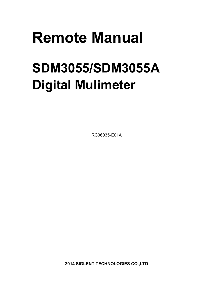# **Remote Manual**

# **SDM3055/SDM3055A Digital Mulimeter**

RC06035-E01A

**2014 SIGLENT TECHNOLOGIES CO.,LTD**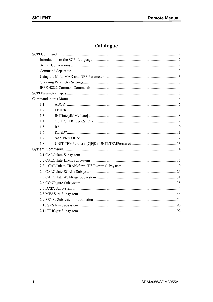## Catalogue

| 11   |  |
|------|--|
| 1.2. |  |
| 1.3. |  |
| 14   |  |
| 1.5  |  |
| 1.6. |  |
| 17   |  |
| 1.8. |  |
|      |  |
|      |  |
|      |  |
|      |  |
|      |  |
|      |  |
|      |  |
|      |  |
|      |  |
|      |  |
|      |  |
|      |  |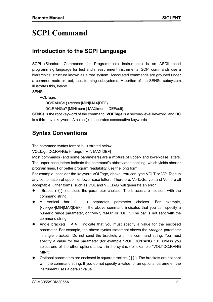# **SCPI Command**

## **Introduction to the SCPI Language**

SCPI (Standard Commands for Programmable Instruments) is an ASCII-based programming language for test and measurement instruments. SCPI commands use a hierarchical structure known as a tree system. Associated commands are grouped under a common node or root, thus forming subsystems. A portion of the SENSe subsystem illustrates this, below.

SENSe: VOLTage:

DC:RANGe {<*range*>|MIN|MAX|DEF}

DC:RANGe? [MINimum | MAXimum | DEFault]

**SENSe** is the root keyword of the command, **VOLTage** is a second-level keyword, and **DC**  is a third-level keyword. A colon ( **:** ) separates consecutive keywords.

## **Syntax Conventions**

The command syntax format is illustrated below:

VOLTage:DC:RANGe {<range>|MIN|MAX|DEF}

Most commands (and some parameters) are a mixture of upper- and lower-case letters. The upper-case letters indicate the command's abbreviated spelling, which yields shorter program lines. For better program readability, use the long form.

For example, consider the keyword VOLTage, above. You can type VOLT or VOLTage in any combination of upper- or lower-case letters. Therefore, VolTaGe, volt and Volt are all acceptable. Other forms, such as VOL and VOLTAG, will generate an error.

- Braces ( **{ }** ) enclose the parameter choices. The braces are not sent with the command string.
- A vertical bar ( **|** ) separates parameter choices. For example, {<*range*>|MIN|MAX|DEF} in the above command indicates that you can specify a numeric range parameter, or "MIN", "MAX" or "DEF". The bar is not sent with the command string.
- Angle brackets ( **< >** ) indicate that you must specify a value for the enclosed parameter. For example, the above syntax statement shows the <*range*> parameter in angle brackets. Do not send the brackets with the command string. You must specify a value for the parameter (for example "VOLT:DC:RANG 10") unless you select one of the other options shown in the syntax (for example "VOLT:DC:RANG MIN").
- Optional parameters are enclosed in square brackets ( **[ ]** ). The brackets are not sent with the command string. If you do not specify a value for an optional parameter, the instrument uses a default value.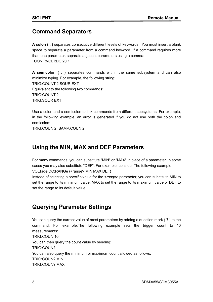## **Command Separators**

**A colon ( : )** separates consecutive different levels of keywords.. You must insert a blank space to separate a parameter from a command keyword. If a command requires more than one parameter, separate adjacent parameters using a comma: CONF:VOLT:DC 20,1

**A semicolon ( ; )** separates commands within the same subsystem and can also minimize typing. For example, the following string: TRIG:COUNT 2;SOUR EXT Equivalent to the following two commands: TRIG:COUNT 2 TRIG:SOUR EXT

Use a colon and a semicolon to link commands from different subsystems. For example, in the following example, an error is generated if you do not use both the colon and semicolon:

TRIG:COUN 2;:SAMP:COUN 2

## **Using the MIN, MAX and DEF Parameters**

For many commands, you can substitute "MIN" or "MAX" in place of a parameter. In some cases you may also substitute "DEF". For example, consider The following example: VOLTage:DC:RANGe {<range>|MIN|MAX|DEF}

Instead of selecting a specific value for the <*range*> parameter, you can substitute MIN to set the range to its minimum value, MAX to set the range to its maximum value or DEF to set the range to its default value.

## **Querying Parameter Settings**

You can query the current value of most parameters by adding a question mark ( **?** ) to the command. For example,The following example sets the trigger count to 10 measurements: TRIG:COUN 10 You can then query the count value by sending: TRIG:COUN? You can also query the minimum or maximum count allowed as follows: TRIG:COUN? MIN TRIG:COUN? MAX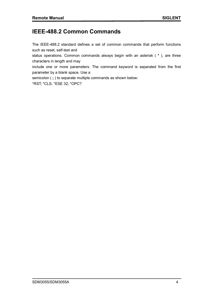## **IEEE-488.2 Common Commands**

The IEEE-488.2 standard defines a set of common commands that perform functions such as reset, self-test and

status operations. Common commands always begin with an asterisk ( **\*** ), are three characters in length and may

include one or more parameters. The command keyword is separated from the first parameter by a blank space. Use a

semicolon (; ) to separate multiple commands as shown below:

\*RST; \*CLS; \*ESE 32; \*OPC?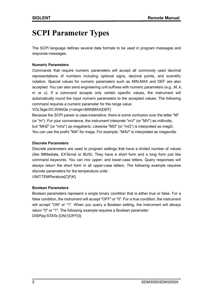# **SCPI Parameter Types**

The SCPI language defines several data formats to be used in program messages and response messages.

#### **Numeric Parameters**

Commands that require numeric parameters will accept all commonly used decimal representations of numbers including optional signs, decimal points, and scientific notation. Special values for numeric parameters such as MIN,MAX and DEF are also accepted. You can also send engineering unit suffixes with numeric parameters (e.g., M, k, m or u). If a command accepts only certain specific values, the instrument will automatically round the input numeric parameters to the accepted values. The following command requires a numeric parameter for the range value:

VOLTage:DC:RANGe {<range>|MIN|MAX|DEF}

Because the SCPI parser is case-insensitive, there is some confusion over the letter "M" (or "m"). For your convenience, the instrument interprets "mV" (or "MV") as millivolts, but "MHZ" (or "mhz") as megahertz. Likewise "MΩ" (or "mΩ") is interpreted as megΩ. You can use the prefix "MA" for mega. For example, "MAV" is interpreted as megavolts.

#### **Discrete Parameters**

Discrete parameters are used to program settings that have a limited number of values (like IMMediate, EXTernal or BUS). They have a short form and a long form just like command keywords. You can mix upper- and lower-case letters. Query responses will always return the short form in all upper-case letters. The following example requires discrete parameters for the temperature units:

UNIT:TEMPerature{C|F|K}

#### **Boolean Parameters**

Boolean parameters represent a single binary condition that is either true or false. For a false condition, the instrument will accept "OFF" or "0". For a true condition, the instrument will accept "ON" or "1". When you query a Boolean setting, the instrument will always return "0" or "1". The following example requires a Boolean parameter: DISPlay:STATe {ON|1|OFF|0}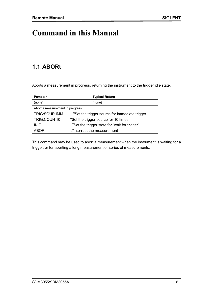# **Command in this Manual**

## **1.1.ABORt**

Aborts a measurement in progress, returning the instrument to the trigger idle state.

| <b>Pameter</b>                   |                                                | <b>Typical Return</b> |
|----------------------------------|------------------------------------------------|-----------------------|
| (none)                           |                                                | (none)                |
| Abort a measurement in progress: |                                                |                       |
| <b>TRIG:SOUR IMM</b>             | //Set the trigger source for immediate trigger |                       |
| TRIG: COUN 10                    | //Set the trigger source for 10 times          |                       |
| <b>INIT</b>                      | //Set the trigger state for "wait for trigger" |                       |
| <b>ABOR</b>                      | //Interrupt the measurement                    |                       |

This command may be used to abort a measurement when the instrument is waiting for a trigger, or for aborting a long measurement or series of measurements.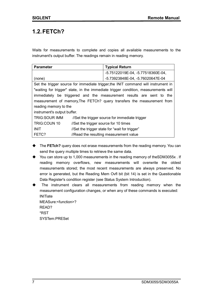## **1.2.FETCh?**

Waits for measurements to complete and copies all available measurements to the instrument's output buffer. The readings remain in reading memory.

| <b>Parameter</b>                                                                  |                                       | <b>Typical Return</b>                                                              |
|-----------------------------------------------------------------------------------|---------------------------------------|------------------------------------------------------------------------------------|
|                                                                                   |                                       | -5.75122019E-04, -5.77518360E-04,                                                  |
| (none)                                                                            |                                       | -5.73923848E-04, -5.76020647E-04                                                   |
| Set the trigger source for immediate trigger, the INIT command will instrument in |                                       |                                                                                    |
|                                                                                   |                                       | "waiting for trigger" state, in the immediate trigger condition, measurements will |
| immediately be triggered and the measurement results are sent to the              |                                       |                                                                                    |
| measurement of memory, The FETCh? query transfers the measurement from            |                                       |                                                                                    |
| reading memory to the                                                             |                                       |                                                                                    |
| instrument's output buffer.                                                       |                                       |                                                                                    |
| <b>TRIG:SOUR IMM</b>                                                              |                                       | //Set the trigger source for immediate trigger                                     |
| TRIG: COUN 10                                                                     | //Set the trigger source for 10 times |                                                                                    |
| <b>INIT</b>                                                                       |                                       | //Set the trigger state for "wait for trigger"                                     |
| FETC?                                                                             |                                       | //Read the resulting measurement value                                             |

- ◆ The FETch? query does not erase measurements from the reading memory. You can send the query multiple times to retrieve the same data.
- ◆ You can store up to 1,000 measurements in the reading memory of theSDM3055x . If reading memory overflows, new measurements will overwrite the oldest measurements stored; the most recent measurements are always preserved. No error is generated, but the Reading Mem Ovfl bit (bit 14) is set in the Questionable Data Register's condition register (see Status System Introduction).
- The instrument clears all measurements from reading memory when the measurement configuration changes, or when any of these commands is executed: **INITiate** MEASure:<function>? READ? \*RST SYSTem:PRESet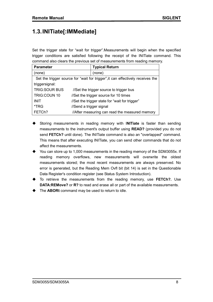## **1.3.INITiate[:IMMediate]**

Set the trigger state for "wait for trigger".Measurements will begin when the specified trigger conditions are satisfied following the receipt of the INITiate command. This command also clears the previous set of measurements from reading memory.

| <b>Parameter</b>                                                               |                                                | <b>Typical Return</b> |
|--------------------------------------------------------------------------------|------------------------------------------------|-----------------------|
| (none)                                                                         |                                                | (none)                |
| Set the trigger source for "wait for trigger", it can effectively receives the |                                                |                       |
| triggersignal:                                                                 |                                                |                       |
| <b>TRIG:SOUR BUS</b>                                                           | //Set the trigger source to trigger bus        |                       |
| TRIG: COUN 10                                                                  | //Set the trigger source for 10 times          |                       |
| <b>INIT</b>                                                                    | //Set the trigger state for "wait for trigger" |                       |
| *TRG                                                                           | //Send a trigger signal                        |                       |
| FETCh?                                                                         | //After measuring can read the measured memory |                       |

- Storing measurements in reading memory with I**NITiate** is faster than sending measurements to the instrument's output buffer using **READ?** (provided you do not send **FETCh?** until done). The INITiate command is also an "overlapped" command. This means that after executing INITiate, you can send other commands that do not affect the measurements.
- You can store up to 1,000 measurements in the reading memory of the SDM3055x. If reading memory overflows, new measurements will overwrite the oldest measurements stored; the most recent measurements are always preserved. No error is generated, but the Reading Mem Ovfl bit (bit 14) is set in the Questionable Data Register's condition register (see Status System Introduction).
- To retrieve the measurements from the reading memory, use **FETCh?.** Use **DATA:REMove?** or **R?** to read and erase all or part of the available measurements.
- ◆ The **ABORt** command may be used to return to idle.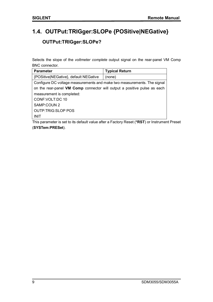## **1.4. OUTPut:TRIGger:SLOPe {POSitive|NEGative} OUTPut:TRIGger:SLOPe?**

Selects the slope of the *voltmeter complete* output signal on the rear-panel VM Comp BNC connector.

| <b>Parameter</b>                                                         | <b>Typical Return</b> |  |
|--------------------------------------------------------------------------|-----------------------|--|
| {POSitive NEGative}, default NEGative                                    | (none)                |  |
| Configure DC voltage measurements and make two measurements. The signal  |                       |  |
| on the rear-panel VM Comp connector will output a positive pulse as each |                       |  |
| measurement is completed:                                                |                       |  |
| CONF: VOLT: DC 10                                                        |                       |  |
| SAMP:COUN 2                                                              |                       |  |
| <b>OUTP:TRIG:SLOP POS</b>                                                |                       |  |
| <b>INIT</b>                                                              |                       |  |

This parameter is set to its default value after a Factory Reset (**\*RST**) or Instrument Preset (**SYSTem:PRESet**).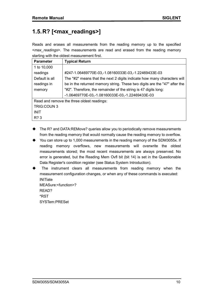## **1.5.R? [<max\_readings>]**

Reads and erases all measurements from the reading memory up to the specified <*max\_readings*>. The measurements are read and erased from the reading memory starting with the oldest measurement first.

| <b>Parameter</b>                           | <b>Typical Return</b>                                                     |  |
|--------------------------------------------|---------------------------------------------------------------------------|--|
| 1 to 10,000                                |                                                                           |  |
| readings                                   | #247-1.06469770E-03,-1.08160033E-03,-1.22469433E-03                       |  |
| Default is all                             | The "#2" means that the next 2 digits indicate how many characters will   |  |
| readings in                                | be in the returned memory string. These two digits are the "47" after the |  |
| memory                                     | "#2". Therefore, the remainder of the string is 47 digits long:           |  |
|                                            | -1.06469770E-03,-1.08160033E-03,-1.22469433E-03                           |  |
| Read and remove the three oldest readings: |                                                                           |  |
| <b>TRIG:COUN 3</b>                         |                                                                           |  |
| <b>INIT</b>                                |                                                                           |  |
| R? 3                                       |                                                                           |  |

- ◆ The R? and DATA:REMove? queries allow you to periodically remove measurements from the reading memory that would normally cause the reading memory to overflow.
- ◆ You can store up to 1,000 measurements in the reading memory of the SDM3055x. If reading memory overflows, new measurements will overwrite the oldest measurements stored; the most recent measurements are always preserved. No error is generated, but the Reading Mem Ovfl bit (bit 14) is set in the Questionable Data Register's condition register (see Status System Introduction).
- The instrument clears all measurements from reading memory when the measurement configuration changes, or when any of these commands is executed: INITiate

MEASure:<function>? READ? \*RST SYSTem:PRESet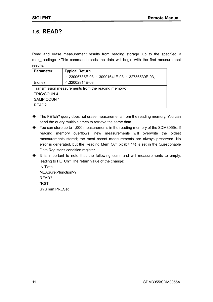## **1.6. READ?**

Read and erase measurement results from reading storage ,up to the specified < max readings >.This command reads the data will begin with the first measurement results.

| <b>Parameter</b>                                   | <b>Typical Return</b>                            |  |
|----------------------------------------------------|--------------------------------------------------|--|
|                                                    | -1.23006735E-03,-1.30991641E-03,-1.32756530E-03, |  |
| (none)                                             | -1.32002814E-03                                  |  |
| Transmission measurements from the reading memory: |                                                  |  |
| <b>TRIG:COUN4</b>                                  |                                                  |  |
| SAMP:COUN 1                                        |                                                  |  |
| READ?                                              |                                                  |  |

- ◆ The FETch? query does not erase measurements from the reading memory. You can send the query multiple times to retrieve the same data.
- ◆ You can store up to 1,000 measurements in the reading memory of the SDM3055x. If reading memory overflows, new measurements will overwrite the oldest measurements stored; the most recent measurements are always preserved. No error is generated, but the Reading Mem Ovfl bit (bit 14) is set in the Questionable Data Register's condition register .
- $\blacklozenge$  It is important to note that the following command will measurements to empty, leading to FETCh? The return value of the change: **INITiate** MEASure:<function>? READ? \*RST SYSTem:PRESet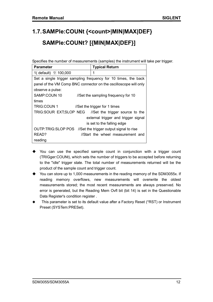# **1.7.SAMPle:COUNt {<count>|MIN|MAX|DEF} SAMPle:COUNt? [{MIN|MAX|DEF}]**

Specifies the number of measurements (samples) the instrument will take per trigger.

| <b>Parameter</b>                                                 | <b>Typical Return</b>               |
|------------------------------------------------------------------|-------------------------------------|
| 1( default) 至 100,000                                            | 1                                   |
| Set a single trigger sampling frequency for 10 times, the back   |                                     |
| panel of the VM Comp BNC connector on the oscilloscope will only |                                     |
| observe a pulse:                                                 |                                     |
| SAMP:COUN 10                                                     | //Set the sampling frequency for 10 |
| times                                                            |                                     |
| <b>TRIG:COUN 1</b>                                               | //Set the trigger for 1 times       |
| TRIG:SOUR EXT;SLOP NEG //Set the trigger source to the           |                                     |
|                                                                  | external trigger and trigger signal |
|                                                                  | is set to the falling edge          |
| OUTP:TRIG:SLOP POS //Set the trigger output signal to rise       |                                     |
| READ?                                                            | //Start the wheel measurement and   |
| reading                                                          |                                     |

- $\blacklozenge$  You can use the specified sample count in conjunction with a trigger count (TRIGger:COUNt), which sets the number of triggers to be accepted before returning to the "idle" trigger state. The total number of measurements returned will be the product of the sample count and trigger count.
- ◆ You can store up to 1,000 measurements in the reading memory of the SDM3055x. If reading memory overflows, new measurements will overwrite the oldest measurements stored; the most recent measurements are always preserved. No error is generated, but the Reading Mem Ovfl bit (bit 14) is set in the Questionable Data Register's condition register .
- This parameter is set to its default value after a Factory Reset (\*RST) or Instrument Preset (SYSTem:PRESet).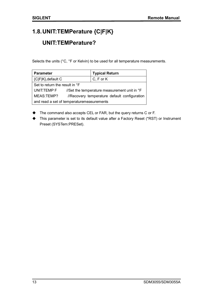## **1.8.UNIT:TEMPerature {C|F|K}**

## **UNIT:TEMPerature?**

Selects the units (°C, °F or Kelvin) to be used for all temperature measurements.

| <b>Parameter</b>                          |                                              | <b>Typical Return</b> |
|-------------------------------------------|----------------------------------------------|-----------------------|
| {C F K}, default C                        |                                              | $C, F$ or $K$         |
| Set to return the result in °F            |                                              |                       |
| UNIT:TEMP F                               | //Set the temperature measurement unit in °F |                       |
| MEAS:TEMP?                                | //Recovery temperature default configuration |                       |
| and read a set of temperaturemeasurements |                                              |                       |

- ◆ The command also accepts CEL or FAR, but the query returns C or F.
- This parameter is set to its default value after a Factory Reset (\*RST) or Instrument Preset (SYSTem:PRESet).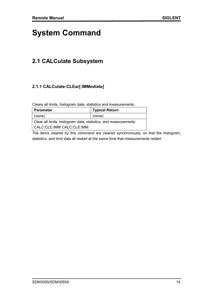# **System Command**

## **2.1 CALCulate Subsystem**

#### **2.1.1 CALCulate:CLEar[:IMMediate]**

Clears all limits, histogram data, statistics and measurements.

| Parameter                                                       | <b>Typical Return</b> |  |
|-----------------------------------------------------------------|-----------------------|--|
| $ $ (none)                                                      | (none)                |  |
| Clear all limits, histogram data, statistics, and measurements: |                       |  |
| l CALC:CLE:IMM CALC:CLE:IMM                                     |                       |  |

The items cleared by this command are cleared synchronously, so that the histogram, statistics, and limit data all restart at the same time that measurements restart.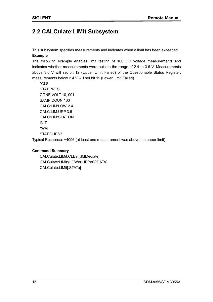## **2.2 CALCulate:LIMit Subsystem**

This subsystem specifies measurements and indicates when a limit has been exceeded. **Example**

The following example enables limit testing of 100 DC voltage measurements and indicates whether measurements were outside the range of 2.4 to 3.6 V. Measurements above 3.6 V will set bit 12 (Upper Limit Failed) of the Questionable Status Register; measurements below 2.4 V will set bit 11 (Lower Limit Failed).

\*CLS STAT:PRES CONF:VOLT 10,.001 SAMP:COUN 100 CALC:LIM:LOW 2.4 CALC:LIM:UPP 3.6 CALC:LIM:STAT ON INIT \*WAI STAT:QUES?

Typical Response: +4096 (at least one measurement was above the upper limit)

#### **Command Summary**

CALCulate:LIMit:CLEar[:IMMediate] CALCulate:LIMit:{LOWer|UPPer}[:DATA] CALCulate:LIMit[:STATe]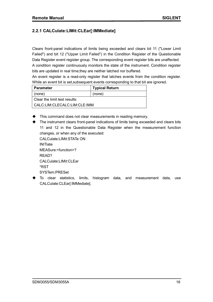#### **2.2.1 CALCulate:LIMit:CLEar[:IMMediate]**

Clears front-panel indications of limits being exceeded and clears bit 11 ("Lower Limit Failed") and bit 12 ("Upper Limit Failed") in the Condition Register of the Questionable Data Register event register group. The corresponding event register bits are unaffected. A condition register continuously monitors the state of the instrument. Condition register bits are updated in real time;they are neither latched nor buffered.

An event register is a read-only register that latches events from the condition register. While an event bit is set,subsequent events corresponding to that bit are ignored.

| Parameter                       | <b>Typical Return</b> |  |
|---------------------------------|-----------------------|--|
| (none)                          | (none)                |  |
| l Clear the limit test results: |                       |  |
| l CALC:LIM:CLECALC:LIM:CLE:IMM  |                       |  |

 $\blacklozenge$  This command does not clear measurements in reading memory.

 The instrument clears front-panel indications of limits being exceeded and clears bits 11 and 12 in the Questionable Data Register when the measurement function changes, or when any of the executed:

CALCulate:LIMit:STATe ON INITiate MEASure:<function>? READ? CALCulate:LIMit:CLEar \*RST SYSTem:PRESet

 To clear statistics, limits, histogram data, and measurement data, use CALCulate:CLEar[:IMMediate].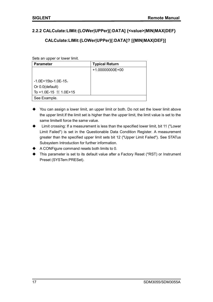#### **2.2.2 CALCulate:LIMit:{LOWer|UPPer}[:DATA] {<value>|MIN|MAX|DEF}**

#### **CALCulate:LIMit:{LOWer|UPPer}[:DATA]? [{MIN|MAX|DEF}]**

Sets an upper or lower limit.

| <b>Parameter</b>                             | <b>Typical Return</b> |
|----------------------------------------------|-----------------------|
|                                              | $+1.00000000E+00$     |
|                                              |                       |
| $-1.0E+15$ to $-1.0E-15$                     |                       |
| Or 0.0 (default)                             |                       |
| To +1.0E-15 $\mathbf{\underline{4}}$ 1.0E+15 |                       |
| See Example.                                 |                       |

- You can assign a lower limit, an upper limit or both. Do not set the lower limit above the upper limit.If the limit set is higher than the upper limit, the limit value is set to the same limitwill force the same value.
- Limit crossing: If a measurement is less than the specified lower limit, bit 11 ("Lower Limit Failed") is set in the Questionable Data Condition Register. A measurement greater than the specified upper limit sets bit 12 ("Upper Limit Failed"). See STATus Subsystem Introduction for further information.
- A CONFigure command resets both limits to 0.
- This parameter is set to its default value after a Factory Reset (\*RST) or Instrument Preset (SYSTem:PRESet).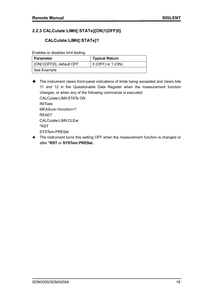#### **2.2.3 CALCulate:LIMit[:STATe]{ON|1|OFF|0}**

#### **CALCulate:LIMit[:STATe]?**

Enables or disables limit testing.

| ∣ Parameter               | <b>Typical Return</b> |
|---------------------------|-----------------------|
| {ON 1 OFF 0}, default OFF | $0$ (OFF) or 1 (ON)   |
| See Example.              |                       |

 The instrument clears front-panel indications of limits being exceeded and clears bits 11 and 12 in the Questionable Data Register when the measurement function changes, or when any of the following commands is executed: CALCulate:LIMit:STATe ON **INITiate** MEASure:<function>? READ? CALCulate:LIMit:CLEar \*RST SYSTem:PRESet

 The instrument turns this setting OFF when the measurement function is changed or after **\*RST** or **SYSTem:PRESet.**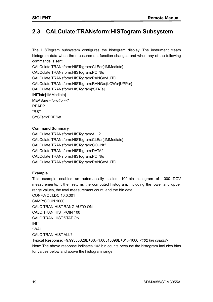## **2.3 CALCulate:TRANsform:HISTogram Subsystem**

The HISTogram subsystem configures the histogram display. The instrument clears histogram data when the measurement function changes and when any of the following commands is sent:

CALCulate:TRANsform:HISTogram:CLEar[:IMMediate] CALCulate:TRANsform:HISTogram:POINts CALCulate:TRANsform:HISTogram:RANGe:AUTO CALCulate:TRANsform:HISTogram:RANGe:{LOWer|UPPer} CALCulate:TRANsform:HISTogram[:STATe] INITiate[:IMMediate] MEASure:<*function*>? READ? \*RST SYSTem:PRESet

#### **Command Summary**

CALCulate:TRANsform:HISTogram:ALL? CALCulate:TRANsform:HISTogram:CLEar[:IMMediate] CALCulate:TRANsform:HISTogram:COUNt? CALCulate:TRANsform:HISTogram:DATA? CALCulate:TRANsform:HISTogram:POINts CALCulate:TRANsform:HISTogram:RANGe:AUTO

#### **Example**

This example enables an automatically scaled, 100-bin histogram of 1000 DCV measurements. It then returns the computed histogram, including the lower and upper range values, the total measurement count, and the bin data.

CONF:VOLT:DC 10,0.001 SAMP:COUN 1000 CALC:TRAN:HIST:RANG:AUTO ON CALC:TRAN:HIST:POIN 100 CALC:TRAN:HIST:STAT ON INIT \*WAI CALC:TRAN:HIST:ALL?

Typical Response: +9.99383828E+00,+1.00513398E+01,+1000,<*102 bin counts*> Note: The above response indicates 102 bin counts because the histogram includes bins for values below and above the histogram range.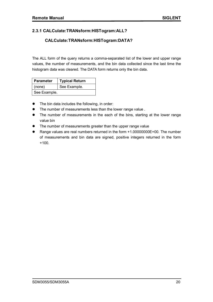#### **2.3.1 CALCulate:TRANsform:HISTogram:ALL?**

#### **CALCulate:TRANsform:HISTogram:DATA?**

The ALL form of the query returns a comma-separated list of the lower and upper range values, the number of measurements, and the bin data collected since the last time the histogram data was cleared. The DATA form returns only the bin data.

| <b>Parameter</b> | <b>Typical Return</b> |
|------------------|-----------------------|
| (none)           | See Example.          |
| See Example.     |                       |

- The bin data includes the following, in order:
- The number of measurements less than the lower range value.
- The number of measurements in the each of the bins, starting at the lower range value bin
- The number of measurements greater than the upper range value
- Range values are real numbers returned in the form +1.00000000E+00. The number of measurements and bin data are signed, positive integers returned in the form +100.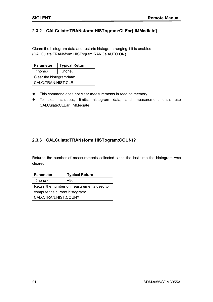#### **2.3.2 CALCulate:TRANsform:HISTogram:CLEar[:IMMediate]**

Clears the histogram data and restarts histogram ranging if it is enabled (CALCulate:TRANsform:HISTogram:RANGe:AUTO ON).

| <b>Parameter</b>         | <b>Typical Return</b> |
|--------------------------|-----------------------|
| (none)                   | (none)                |
| Clear the histogramdata: |                       |
| CALC:TRAN:HIST:CLE       |                       |

- This command does not clear measurements in reading memory.
- To clear statistics, limits, histogram data, and measurement data, use CALCulate:CLEar[:IMMediate].

#### **2.3.3 CALCulate:TRANsform:HISTogram:COUNt?**

Returns the number of measurements collected since the last time the histogram was cleared.

| <b>Parameter</b>                          | <b>Typical Return</b> |  |
|-------------------------------------------|-----------------------|--|
| (none)                                    | +96                   |  |
| Return the number of measurements used to |                       |  |
| compute the current histogram:            |                       |  |
| CALC:TRAN:HIST:COUN?                      |                       |  |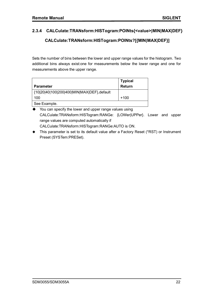#### **2.3.4 CALCulate:TRANsform:HISTogram:POINts{<value>|MIN|MAX|DEF}**

#### **CALCulate:TRANsform:HISTogram:POINts?[{MIN|MAX|DEF}]**

Sets the number of bins between the lower and upper range values for the histogram. Two additional bins always exist:one for measurements below the lower range and one for measurements above the upper range.

| <b>Parameter</b>                            | <b>Typical</b><br>Return |
|---------------------------------------------|--------------------------|
| {10 20 40 100 200 400 MIN MAX DEF}, default |                          |
| 100                                         | $+100$                   |
| See Example.                                |                          |

◆ You can specify the lower and upper range values using CALCulate:TRANsform:HISTogram:RANGe: {LOWer|UPPer}. Lower and upper range values are computed automatically if CALCulate:TRANsform:HISTogram:RANGe:AUTO is ON.

◆ This parameter is set to its default value after a Factory Reset (\*RST) or Instrument Preset (SYSTem:PRESet).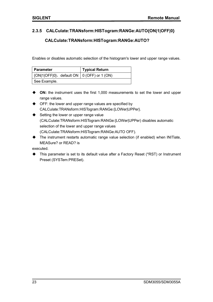#### **2.3.5 CALCulate:TRANsform:HISTogram:RANGe:AUTO{ON|1|OFF|0}**

#### **CALCulate:TRANsform:HISTogram:RANGe:AUTO?**

Enables or disables automatic selection of the histogram's lower and upper range values.

| Parameter                                                  | <b>Typical Return</b> |
|------------------------------------------------------------|-----------------------|
| $\vert$ {ON 1 OFF 0}, default ON $\vert$ 0 (OFF) or 1 (ON) |                       |
| See Example.                                               |                       |

- **ON:** the instrument uses the first 1,000 measurements to set the lower and upper range values.
- ◆ OFF: the lower and upper range values are specified by CALCulate:TRANsform:HISTogram:RANGe:{LOWer|UPPer}.
- $\blacklozenge$  Setting the lower or upper range value (CALCulate:TRANsform:HISTogram:RANGe:{LOWer|UPPer) disables automatic selection of the lower and upper range values (CALCulate:TRANsform:HISTogram:RANGe:AUTO OFF).
- The instrument restarts automatic range value selection (if enabled) when INITiate, MEASure? or READ? is

executed.

◆ This parameter is set to its default value after a Factory Reset (\*RST) or Instrument Preset (SYSTem:PRESet).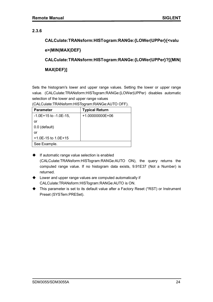#### **2.3.6**

**CALCulate:TRANsform:HISTogram:RANGe:{LOWer|UPPer}{<valu e>|MIN|MAX|DEF} CALCulate:TRANsform:HISTogram:RANGe:{LOWer|UPPer}?[{MIN| MAX|DEF}]**

Sets the histogram's lower and upper range values. Setting the lower or upper range value. (CALCulate:TRANsform:HISTogram:RANGe:{LOWer|UPPer) disables automatic selection of the lower and upper range values

(CALCulate:TRANsform:HISTogram:RANGe:AUTO OFF).

| <b>Parameter</b>           | <b>Typical Return</b> |
|----------------------------|-----------------------|
| $-1.0E+15$ to $-1.0E-15$ , | $+1.00000000E+06$     |
| or                         |                       |
| 0.0 (default)              |                       |
| or                         |                       |
| $+1.0E-15$ to 1.0E+15      |                       |
| See Example.               |                       |

- $\bullet$  If automatic range value selection is enabled (CALCulate:TRANsform:HISTogram:RANGe:AUTO ON), the query returns the computed range value. If no histogram data exists, 9.91E37 (Not a Number) is returned.
- ◆ Lower and upper range values are computed automatically if CALCulate:TRANsform:HISTogram:RANGe:AUTO is ON.
- This parameter is set to its default value after a Factory Reset (\*RST) or Instrument Preset (SYSTem:PRESet).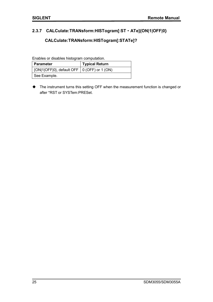#### **2.3.7 CALCulate:TRANsform:HISTogram[:ST**·**ATe]{ON|1|OFF|0}**

#### **CALCulate:TRANsform:HISTogram[:STATe]?**

Enables or disables histogram computation.

| ∣ Parameter                                                 | <b>Typical Return</b> |
|-------------------------------------------------------------|-----------------------|
| $\vert$ {ON 1 OFF 0}, default OFF $\vert$ 0 (OFF) or 1 (ON) |                       |
| See Example.                                                |                       |

 The instrument turns this setting OFF when the measurement function is changed or after \*RST or SYSTem:PRESet.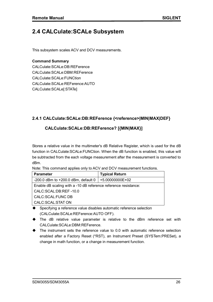## **2.4 CALCulate:SCALe Subsystem**

This subsystem scales ACV and DCV measurements.

#### **Command Summary**

CALCulate:SCALe:DB:REFerence CALCulate:SCALe:DBM:REFerence CALCulate:SCALe:FUNCtion CALCulate:SCALe:REFerence:AUTO CALCulate:SCALe[:STATe]

#### **2.4.1 CALCulate:SCALe:DB:REFerence {<reference>|MIN|MAX|DEF}**

#### **CALCulate:SCALe:DB:REFerence? [{MIN|MAX}]**

Stores a relative value in the multimeter's dB Relative Register, which is used for the dB function in CALCulate:SCALe:FUNCtion. When the dB function is enabled, this value will be subtracted from the each voltage measurement after the measurement is converted to dBm.

Note: This command applies only to ACV and DCV measurement functions.

| <b>Parameter</b>                                                | <b>Typical Return</b> |  |
|-----------------------------------------------------------------|-----------------------|--|
| -200.0 dBm to $+200.0$ dBm, default 0                           | +5.00000000E+02       |  |
| Enable dB scaling with a -10 dB reference reference resistance: |                       |  |
| CALC:SCAL:DB:REF-10.0                                           |                       |  |
| CALC:SCAL:FUNC DB                                               |                       |  |
| CALC:SCAL:STAT ON                                               |                       |  |

- ◆ Specifying a reference value disables automatic reference selection (CALCulate:SCALe:REFerence:AUTO OFF).
- The dB relative value parameter is relative to the dBm reference set with CALCulate:SCALe:DBM:REFerence.
- $\blacklozenge$  The instrument sets the reference value to 0.0 with automatic reference selection enabled after a Factory Reset (\*RST), an Instrument Preset (SYSTem:PRESet), a change in math function, or a change in measurement function.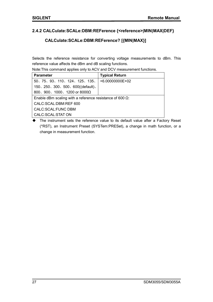#### **2.4.2 CALCulate:SCALe:DBM:REFerence {<reference>|MIN|MAX|DEF}**

#### **CALCulate:SCALe:DBM:REFerence? [{MIN|MAX}]**

Selects the reference resistance for converting voltage measurements to dBm. This reference value affects the dBm and dB scaling functions.

Note:This command applies only to ACV and DCV measurement functions.

| <b>Parameter</b>                                                 | <b>Typical Return</b> |  |
|------------------------------------------------------------------|-----------------------|--|
| 50, 75, 93, 110, 124, 125, 135,                                  | $+6.00000000E+02$     |  |
| 150、250、300、500、600((default)、                                   |                       |  |
| 800, 900, 1000, 1200 or 8000 $\Omega$                            |                       |  |
| Enable dBm scaling with a reference resistance of 600 $\Omega$ : |                       |  |
| CALC:SCAL:DBM:REF 600                                            |                       |  |
| CALC: SCAL: FUNC DBM                                             |                       |  |
| CALC:SCAL:STAT ON                                                |                       |  |

 The instrument sets the reference value to its default value after a Factory Reset (\*RST), an Instrument Preset (SYSTem:PRESet), a change in math function, or a change in measurement function.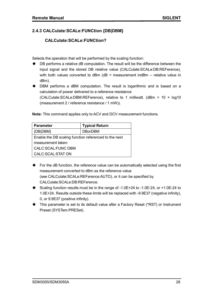#### **2.4.3 CALCulate:SCALe:FUNCtion {DB|DBM}**

#### **CALCulate:SCALe:FUNCtion?**

Selects the operation that will be performed by the scaling function:

- DB performs a relative dB computation. The result will be the difference between the input signal and the stored DB relative value (CALCulate:SCALe:DB:REFerence), with both values converted to dBm ( $dB$  = measurement indBm - relative value in dBm).
- DBM performs a dBM computation. The result is logarithmic and is based on a calculation of power delivered to a reference resistance (CALCulate:SCALe:DBM:REFerence), relative to 1 milliwatt. ( $dBr = 10 \times 10q10$ (measurement 2 / reference resistance / 1 mW)).

**Note:** This command applies only to ACV and DCV measurement functions.

| <b>Parameter</b>                                      | <b>Typical Return</b> |  |
|-------------------------------------------------------|-----------------------|--|
| {DB DBM}                                              | <b>DBorDBM</b>        |  |
| Enable the DB scaling function referenced to the next |                       |  |
| measurement taken:                                    |                       |  |
| CALC:SCAL:FUNC DBM                                    |                       |  |
| CALC:SCAL:STAT ON                                     |                       |  |

- ◆ For the dB function, the reference value can be automatically selected using the first measurement converted to dBm as the reference value (see CALCulate:SCALe:REFerence:AUTO), or it can be specified by CALCulate:SCALe:DB:REFerence.
- ◆ Scaling function results must be in the range of -1.0E+24 to -1.0E-24, or +1.0E-24 to 1.0E+24. Results outside these limits will be replaced with -9.9E37 (negative infinity), 0, or 9.9E37 (positive infinity).
- This parameter is set to its default value after a Factory Reset (\*RST) or Instrument Preset (SYSTem:PRESet).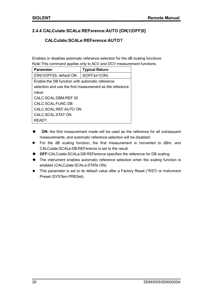#### **2.4.4 CALCulate:SCALe:REFerence:AUTO {ON|1|OFF|0}**

#### **CALCulate:SCALe:REFerence:AUTO?**

Enables or disables automatic reference selection for the dB scaling functions Note:This command applies only to ACV and DCV measurement functions.

| <b>Parameter</b>                                         | <b>Typical Return</b> |  |
|----------------------------------------------------------|-----------------------|--|
| {ON 1 OFF 0}, default ON                                 | $0(OFF)$ or1(ON)      |  |
| Enable the DB function with automatic reference          |                       |  |
| selection and use the first measurement as the reference |                       |  |
| value:                                                   |                       |  |
| CALC:SCAL:DBM:REF 50                                     |                       |  |
| CALC: SCAL: FUNC DB                                      |                       |  |
| CALC:SCAL:REF:AUTO ON                                    |                       |  |
| CALC:SCAL:STAT ON                                        |                       |  |
| RFAD?                                                    |                       |  |

- **ON:** the first measurement made will be used as the reference for all subsequent measurements, and automatic reference selection will be disabled:
- For the dB scaling function, the first measurement is converted to dBm, and CALCulate:SCALe:DB:REFerence is set to the result.
- **OFF:**CALCulate:SCALe:DB:REFerence specifies the reference for DB scaling.
- The instrument enables automatic reference selection when the scaling function is enabled (CALCulate:SCALe:STATe ON).
- ◆ This parameter is set to its default value after a Factory Reset (\*RST) or Instrument Preset (SYSTem:PRESet).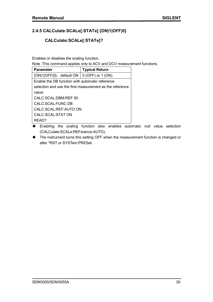### **2.4.5 CALCulate:SCALe[:STATe] {ON|1|OFF|0}**

#### **CALCulate:SCALe[:STATe]?**

Enables or disables the scaling function.

Note :This command applies only to ACV and DCV measurement functions.

| <b>Parameter</b>                                         | <b>Typical Return</b> |  |
|----------------------------------------------------------|-----------------------|--|
| $\{ON 1 OFF 0\}$ , default ON $\mid 0$ (OFF) or 1 (ON)   |                       |  |
| Enable the DB function with automatic reference          |                       |  |
| selection and use the first measurement as the reference |                       |  |
| value:                                                   |                       |  |
| CALC:SCAL:DBM:REF 50                                     |                       |  |
| CALC: SCAL: FUNC DB                                      |                       |  |
| CALC: SCAL: REF: AUTO ON                                 |                       |  |
| CALC:SCAL:STAT ON                                        |                       |  |
| RFAD?                                                    |                       |  |

 Enabling the scaling function also enables automatic null value selection (CALCulate:SCALe:REFerence:AUTO).

 The instrument turns this setting OFF when the measurement function is changed or after \*RST or SYSTem:PRESet.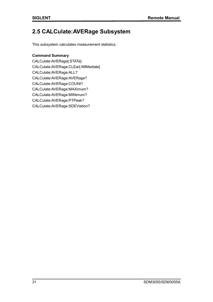## **2.5 CALCulate:AVERage Subsystem**

This subsystem calculates measurement statistics.

#### **Command Summary**

CALCulate:AVERage[:STATe] CALCulate:AVERage:CLEar[:IMMediate] CALCulate:AVERage:ALL? CALCulate:AVERage:AVERage? CALCulate:AVERage:COUNt? CALCulate:AVERage:MAXimum? CALCulate:AVERage:MINimum? CALCulate:AVERage:PTPeak? CALCulate:AVERage:SDEViation?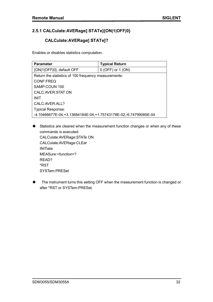#### **2.5.1 CALCulate:AVERage[:STATe]{ON|1|OFF|0}**

#### **CALCulate:AVERage[:STATe]?**

Enables or disables statistics computation.

| <b>Parameter</b>                                                   | <b>Typical Return</b> |  |
|--------------------------------------------------------------------|-----------------------|--|
| {ON 1 OFF 0}, default OFF                                          | $0$ (OFF) or $1$ (ON) |  |
| Return the statistics of 100 frequency measurements:               |                       |  |
| <b>CONF:FREQ</b>                                                   |                       |  |
| SAMP:COUN 100                                                      |                       |  |
| CALC: AVER: STAT ON                                                |                       |  |
| <b>INIT</b>                                                        |                       |  |
| CALC: AVER: ALL?                                                   |                       |  |
| <b>Typical Response:</b>                                           |                       |  |
| -4.10466677E-04, +3.13684184E-04, +1.75743178E-02, -6.74799085E-04 |                       |  |

- Statistics are cleared when the measurement function changes or when any of these commands is executed: CALCulate:AVERage:STATe ON CALCulate:AVERage:CLEar **INITiate** MEASure:<*function*>? READ? \*RST SYSTem:PRESet
- ◆ The instrument turns this setting OFF when the measurement function is changed or after \*RST or SYSTem:PRESet.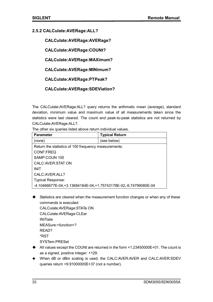#### **2.5.2 CALCulate:AVERage:ALL?**

**CALCulate:AVERage:AVERage?** 

**CALCulate:AVERage:COUNt?** 

**CALCulate:AVERage:MAXimum?** 

**CALCulate:AVERage:MINimum?** 

**CALCulate:AVERage:PTPeak?** 

**CALCulate:AVERage:SDEViation?**

The CALCulate:AVERage:ALL? query returns the arithmetic mean (average), standard deviation, minimum value and maximum value of all measurements taken since the statistics were last cleared. The count and peak-to-peak statistics are not returned by CALCulate:AVERage:ALL?.

The other six queries listed above return individual values.

| <b>Parameter</b>                                                   | <b>Typical Return</b> |  |
|--------------------------------------------------------------------|-----------------------|--|
| (none)                                                             | (see below)           |  |
| Return the statistics of 100 frequency measurements:               |                       |  |
| <b>CONF:FREQ</b>                                                   |                       |  |
| SAMP:COUN 100                                                      |                       |  |
| CALC: AVER: STAT ON                                                |                       |  |
| <b>INIT</b>                                                        |                       |  |
| CALC: AVER: ALL?                                                   |                       |  |
| <b>Typical Response:</b>                                           |                       |  |
| -4.10466677E-04, +3.13684184E-04, +1.75743178E-02, -6.74799085E-04 |                       |  |

 $\blacklozenge$  Statistics are cleared when the measurement function changes or when any of these commands is executed:

```
CALCulate:AVERage:STATe ON
CALCulate:AVERage:CLEar
INITiate
MEASure:<function>?
READ?
*RST
SYSTem:PRESet
```
- ◆ All values except the COUNt are returned in the form +1.23450000E+01. The count is as a signed, positive integer: +129.
- ◆ When dB or dBm scaling is used, the CALC:AVER:AVER and CALC:AVER:SDEV queries return +9.91000000E+37 (not a number).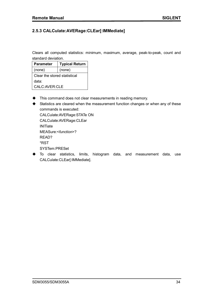#### **2.5.3 CALCulate:AVERage:CLEar[:IMMediate]**

Clears all computed statistics: minimum, maximum, average, peak-to-peak, count and standard deviation.

| <b>Parameter</b>             | <b>Typical Return</b> |
|------------------------------|-----------------------|
| (none)                       | (none)                |
| Clear the stored statistical |                       |
| data:                        |                       |
| CALC: AVER: CLE              |                       |

- $\blacklozenge$  This command does not clear measurements in reading memory.
- Statistics are cleared when the measurement function changes or when any of these commands is executed:

CALCulate:AVERage:STATe ON CALCulate:AVERage:CLEar **INITiate** MEASure:<*function*>? READ? \*RST SYSTem:PRESet

 To clear statistics, limits, histogram data, and measurement data, use CALCulate:CLEar[:IMMediate].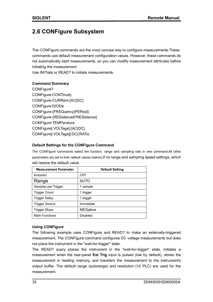## **2.6 CONFigure Subsystem**

The CONFigure commands are the most concise way to configure measurements.These commands use default measurement configuration values. However, these commands do not automatically start measurements, so you can modify measurement attributes before initiating the measurement.

Use INITiate or READ? to initiate measurements.

#### **Command Summary**

CONFigure? CONFigure:CONTinuity CONFigure:CURRent:{AC|DC} CONFigure:DIODe CONFigure:{FREQuency|PERiod} CONFigure:{RESistance|FRESistance} CONFigure:TEMPerature CONFigure[:VOLTage]:{AC|DC} CONFigure[:VOLTage][:DC]:RATio

#### **Default Settings for the CONFigure Command**

The CONFigure commands select the function, range and sampling rate in one command.All other parameters are set to their default values (below).If no range and sampling speed settings, which will restore the default value.

| <b>Measurement Parameter</b> | <b>Default Setting</b> |
|------------------------------|------------------------|
| Autozero                     | OFF                    |
| Range                        | <b>AUTO</b>            |
| Samples per Trigger          | 1 sample               |
| <b>Trigger Count</b>         | 1 trigger              |
| <b>Trigger Delay</b>         | 1 trigger              |
| <b>Trigger Source</b>        | Immediate              |
| Trigger Slope                | <b>NEGative</b>        |
| <b>Math Functions</b>        | Disabled               |

#### **Using CONFigure**

The following example uses CONFigure and READ? to make an externally-triggered measurement. The CONFigure command configures DC voltage measurements but does not place the instrument in the "wait-for-trigger" state.

The READ? query places the instrument in the "wait-for-trigger" state, initiates a measurement when the rear-panel **Ext Trig** input is pulsed (low by default), stores the measurement in reading memory, and transfers the measurement to the instrument's output buffer. The default range (autorange) and resolution (10 PLC) are used for the measurement.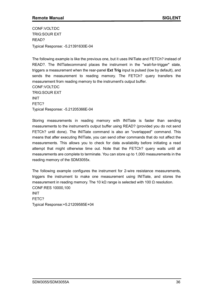CONF:VOLT:DC TRIG:SOUR EXT READ? Typical Response: -5.21391630E-04

The following example is like the previous one, but it uses INITiate and FETCh? instead of READ?. The INITiatecommand places the instrument in the "wait-for-trigger" state, triggers a measurement when the rear-panel **Ext Trig** input is pulsed (low by default), and sends the measurement to reading memory. The FETCh? query transfers the measurement from reading memory to the instrument's output buffer. CONF:VOLT:DC TRIG:SOUR EXT INIT FETC? Typical Response: -5.21205366E-04

Storing measurements in reading memory with INITiate is faster than sending measurements to the instrument's output buffer using READ? (provided you do not send FETCh? until done). The INITiate command is also an "overlapped" command. This means that after executing INITiate, you can send other commands that do not affect the measurements. This allows you to check for data availability before initiating a read attempt that might otherwise time out. Note that the FETCh? query waits until all measurements are complete to terminate. You can store up to 1,000 measurements in the reading memory of the SDM3055x.

The following example configures the instrument for 2-wire resistance measurements, triggers the instrument to make one measurement using INITiate, and stores the measurement in reading memory. The 10 kΩ range is selected with 100 Ω resolution. CONF:RES 10000,100 INIT FETC?

Typical Response:+5.21209585E+04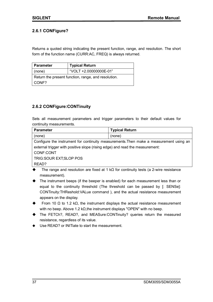## **2.6.1 CONFigure?**

Returns a quoted string indicating the present function, range, and resolution. The short form of the function name (CURR:AC, FREQ) is always returned.

| Parameter                                           | <b>Typical Return</b>  |
|-----------------------------------------------------|------------------------|
| (none)                                              | "VOLT +2.00000000E-01" |
| Return the present function, range, and resolution. |                        |
| CONF?                                               |                        |

## **2.6.2 CONFigure:CONTinuity**

Sets all measurement parameters and trigger parameters to their default values for continuity measurements.

| <b>Parameter</b>                                                                       | <b>Typical Return</b> |  |
|----------------------------------------------------------------------------------------|-----------------------|--|
| (none)                                                                                 | (none)                |  |
| Configure the instrument for continuity measurements. Then make a measurement using an |                       |  |
| external trigger with positive slope (rising edge) and read the measurement:           |                       |  |
| CONF:CONT                                                                              |                       |  |
| TRIG: SOUR EXT; SLOP POS                                                               |                       |  |
| READ?                                                                                  |                       |  |

- The range and resolution are fixed at 1 k $\Omega$  for continuity tests (a 2-wire resistance measurement).
- The instrument beeps (if the beeper is enabled) for each measurement less than or equal to the continuity threshold (The threshold can be passed by [: SENSe]: CONTinuity:THReshold:VALue command ), and the actual resistance measurement appears on the display.
- From 10  $\Omega$  to 1.2 k $\Omega$ , the instrument displays the actual resistance measurement with no beep. Above 1.2 kΩ, the instrument displays "OPEN" with no beep.
- The FETCh?, READ?, and MEASure:CONTinuity? queries return the measured resistance, regardless of its value.
- Use READ? or INITiate to start the measurement.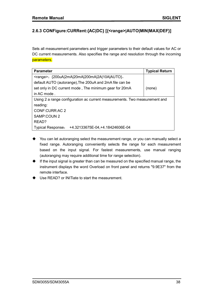# **2.6.3 CONFigure:CURRent:{AC|DC} [{<range>|AUTO|MIN|MAX|DEF}]**

Sets all measurement parameters and trigger parameters to their default values for AC or DC current measurements. Also specifies the range and resolution through the incoming parameters.

| <b>Parameter</b>                                                           | <b>Typical Return</b> |  |
|----------------------------------------------------------------------------|-----------------------|--|
| <range>: {200uA 2mA 20mA 200mA 2A 10A AUTO},</range>                       |                       |  |
| default AUTO (autorange), The 200uA and 2mA file can be                    |                       |  |
| set only in DC current mode, The minimum gear for 20mA                     | (none)                |  |
| in AC mode.                                                                |                       |  |
| Using 2 a range configuration ac current measurements. Two measurement and |                       |  |
| reading:                                                                   |                       |  |
| CONF:CURR:AC 2                                                             |                       |  |
| SAMP:COUN 2                                                                |                       |  |
| READ?                                                                      |                       |  |
| +4.32133675E-04, +4.18424606E-04<br><b>Typical Response:</b>               |                       |  |

- You can let autoranging select the measurement range, or you can manually select a fixed range. Autoranging conveniently selects the range for each measurement based on the input signal. For fastest measurements, use manual ranging (autoranging may require additional time for range selection).
- $\blacklozenge$  If the input signal is greater than can be measured on the specified manual range, the instrument displays the word Overload on front panel and returns "9.9E37" from the remote interface.
- Use READ? or INITiate to start the measurement.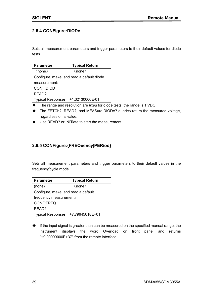## **2.6.4 CONFigure:DIODe**

Sets all measurement parameters and trigger parameters to their default values for diode tests.

| <b>Parameter</b>                          | <b>Typical Return</b> |  |
|-------------------------------------------|-----------------------|--|
| (none)                                    | (none)                |  |
| Configure, make, and read a default diode |                       |  |
| measurement:                              |                       |  |
| CONF:DIOD                                 |                       |  |
| READ?                                     |                       |  |
| <b>Typical Response:</b>                  | +1.32130000E-01       |  |

- The range and resolution are *fixed* for diode tests: the range is 1 VDC.
- The FETCh?, READ?, and MEASure:DIODe? queries return the measured voltage, regardless of its value.
- ◆ Use READ? or INITiate to start the measurement.

# **2.6.5 CONFigure:{FREQuency|PERiod}**

Sets all measurement parameters and trigger parameters to their default values in the frequency/cycle mode.

| <b>Parameter</b>                    | <b>Typical Return</b> |  |
|-------------------------------------|-----------------------|--|
| (none)                              | (none)                |  |
| Configure, make, and read a default |                       |  |
| frequency measurement:              |                       |  |
| <b>CONF:FREQ</b>                    |                       |  |
| READ?                               |                       |  |
| <b>Typical Response:</b>            | +7.79645018E+01       |  |

 $\blacklozenge$  If the input signal is greater than can be measured on the specified manual range, the instrument displays the word Overload on front panel and returns "+9.90000000E+37" from the remote interface.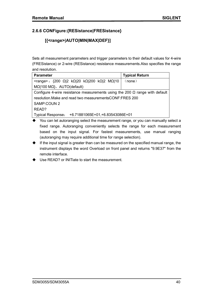# **2.6.6 CONFigure:{RESistance|FRESistance}**

# **[{<range>|AUTO|MIN|MAX|DEF}]**

Sets all measurement parameters and trigger parameters to their default values for 4-wire (FRESistance) or 2-wire (RESistance) resistance measurements.Also specifies the range and resolution.

| <b>Parameter</b>                                                                   | <b>Typical Return</b> |  |
|------------------------------------------------------------------------------------|-----------------------|--|
| <range>: {200 Ω 2 kΩ 20 kΩ 200 kΩ 2 MΩ 10</range>                                  | (none)                |  |
| $M\Omega$  100 M $\Omega$ }, AUTO(default)                                         |                       |  |
| Configure 4-wire resistance measurements using the 200 $\Omega$ range with default |                       |  |
| resolution. Make and read two measurements CONF: FRES 200                          |                       |  |
| SAMP:COUN 2                                                                        |                       |  |
| READ?                                                                              |                       |  |
| <b>Typical Response:</b><br>+6.71881065E+01,+6.83543086E+01                        |                       |  |

- ◆ You can let autoranging select the measurement range, or you can manually select a fixed range. Autoranging conveniently selects the range for each measurement based on the input signal. For fastest measurements, use manual ranging (autoranging may require additional time for range selection).
- $\blacklozenge$  If the input signal is greater than can be measured on the specified manual range, the instrument displays the word Overload on front panel and returns "9.9E37" from the remote interface.
- Use READ? or INITiate to start the measurement.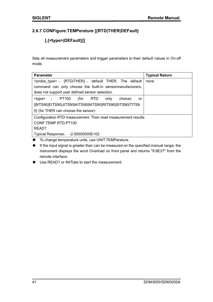# **2.6.7 CONFigure:TEMPerature [{RTD|THER|DEFault}**

# **[,{<type>|DEFault}]]**

Sets all measurement parameters and trigger parameters to their default values in On-off mode.

| <b>Parameter</b>                                                               | <b>Typical Return</b> |  |
|--------------------------------------------------------------------------------|-----------------------|--|
| $\langle$ probe type> : $\langle$ RTD THER}, default THER. The default<br>none |                       |  |
| command can only choose the built-in sensormanufacturers,                      |                       |  |
| does not support user defined sensor selection.                                |                       |  |
| $\langle$ type> : PT100 (for RTD<br>choice)<br>only<br>or                      |                       |  |
| {BITS90 EITS90 JITS90 KITS90 NITS90 RITS90 SITS90 TITS9                        |                       |  |
| 0} (for THER can choose the sensor)                                            |                       |  |
| Configuration RTD measurement. Then read measurement results:                  |                       |  |
| CONF:TEMP RTD, PT100                                                           |                       |  |
| READ?                                                                          |                       |  |
| Typical Response: -2.00000000E+02                                              |                       |  |

- To change temperature units, use UNIT:TEMPerature.
- $\blacklozenge$  If the input signal is greater than can be measured on the specified manual range, the instrument displays the word Overload on front panel and returns "9.9E37" from the remote interface.

Use READ? or INITiate to start the measurement.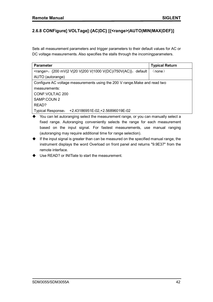# **2.6.8 CONFigure[:VOLTage]:{AC|DC} [{<range>|AUTO|MIN|MAX|DEF}]**

Sets all measurement parameters and trigger parameters to their default values for AC or DC voltage measurements. Also specifies the stalls through the incomingparameters.

| <b>Parameter</b>                                                           | <b>Typical Return</b> |  |
|----------------------------------------------------------------------------|-----------------------|--|
| <range>: {200 mV 2 V 20 V 200 V 1000 V(DC)/750V(AC)}, default</range>      | (none)                |  |
| AUTO (autorange)                                                           |                       |  |
| Configure AC voltage measurements using the 200 V range. Make and read two |                       |  |
| measurements:                                                              |                       |  |
| CONF: VOLT: AC 200                                                         |                       |  |
| SAMP:COUN 2                                                                |                       |  |
| READ?                                                                      |                       |  |
| <b>Typical Response:</b><br>+2.43186951E-02, +2.56896019E-02               |                       |  |

- You can let autoranging select the measurement range, or you can manually select a fixed range. Autoranging conveniently selects the range for each measurement based on the input signal. For fastest measurements, use manual ranging (autoranging may require additional time for range selection).
- $\blacklozenge$  If the input signal is greater than can be measured on the specified manual range, the instrument displays the word Overload on front panel and returns "9.9E37" from the remote interface.
- Use READ? or INITiate to start the measurement.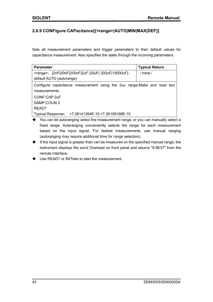## **2.6.9 CONFigure:CAPacitance[{<range>|AUTO|MIN|MAX|DEF}]**

Sets all measurement parameters and trigger parameters to their default values for capacitance measurement. Also specifies the stalls through the incoming parameters.

| <b>Parameter</b>                                                         | <b>Typical Return</b> |
|--------------------------------------------------------------------------|-----------------------|
| <range>: {2nF 20nF 200nF 2uF  20uF  200uF 10000uF},</range>              | (none)                |
| default AUTO (autorange)                                                 |                       |
| Configure capacitance measurement using the 2uv range. Make and read two |                       |
| measurements:                                                            |                       |
| CONF:CAP 2uF                                                             |                       |
| SAMP:COUN 2                                                              |                       |
| READ?                                                                    |                       |
| +7.26141264E-10, +7.26109188E-10<br><b>Typical Response:</b>             |                       |

- ◆ You can let autoranging select the measurement range, or you can manually select a fixed range. Autoranging conveniently selects the range for each measurement based on the input signal. For fastest measurements, use manual ranging (autoranging may require additional time for range selection).
- $\blacklozenge$  If the input signal is greater than can be measured on the specified manual range, the instrument displays the word Overload on front panel and returns "9.9E37" from the remote interface.
- ◆ Use READ? or INITiate to start the measurement.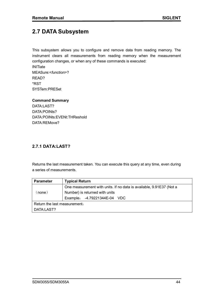# **2.7 DATA Subsystem**

This subsystem allows you to configure and remove data from reading memory. The instrument clears all measurements from reading memory when the measurement configuration changes, or when any of these commands is executed:

**INITiate** MEASure:<*function*>? READ? \*RST SYSTem:PRESet

**Command Summary** DATA:LAST? DATA:POINts? DATA:POINts:EVENt:THReshold DATA:REMove?

#### **2.7.1 DATA:LAST?**

Returns the last measurement taken. You can execute this query at any time, even during a series of measurements.

| <b>Parameter</b>             | <b>Typical Return</b>                                               |  |
|------------------------------|---------------------------------------------------------------------|--|
|                              | One measurement with units. If no data is available, 9.91E37 (Not a |  |
| (none)                       | Number) is returned with units                                      |  |
|                              | Example: -4.79221344E-04 VDC                                        |  |
| Return the last measurement. |                                                                     |  |
| DATA:LAST?                   |                                                                     |  |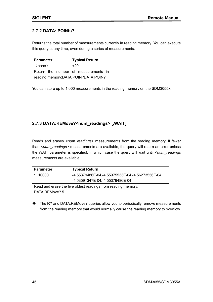### **2.7.2 DATA: POINts?**

Returns the total number of measurements currently in reading memory. You can execute this query at any time, even during a series of measurements.

| <b>Parameter</b>                        | <b>Typical Return</b> |  |
|-----------------------------------------|-----------------------|--|
| (none)                                  | +20                   |  |
| Return the number of measurements in    |                       |  |
| reading memory: DATA: POIN? DATA: POIN? |                       |  |

You can store up to 1,000 measurements in the reading memory on the SDM3055x.

## **2.7.3 DATA:REMove?<num\_readings> [,WAIT]**

Reads and erases <*num\_readings*> measurements from the reading memory. If fewer than <*num\_readings*> measurements are available, the query will return an error unless the WAIT parameter is specified, in which case the query will wait until <*num\_readings*  measurements are available.

| <b>Parameter</b>                                             | <b>Typical Return</b>                            |  |
|--------------------------------------------------------------|--------------------------------------------------|--|
| $1 - 10000$                                                  | -4.55379486E-04,-4.55975533E-04,-4.56273556E-04, |  |
|                                                              | -4.53591347E-04,-4.55379486E-04                  |  |
| Read and erase the five oldest readings from reading memory: |                                                  |  |
| DATA:REMove? 5                                               |                                                  |  |

◆ The R? and DATA:REMove? queries allow you to periodically remove measurements from the reading memory that would normally cause the reading memory to overflow.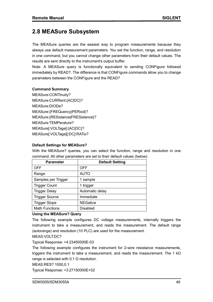# **2.8 MEASure Subsystem**

The MEASure queries are the easiest way to program measurements because they always use default measurement parameters. You set the function, range, and resolution in one command, but you cannot change other parameters from their default values. The results are sent directly to the instrument's output buffer.

Note: A MEASure query is functionally equivalent to sending CONFigure followed immediately by READ?. The difference is that CONFigure commands allow you to change parameters between the CONFigure and the READ?

#### **Command Summary**

MEASure:CONTinuity? MEASure:CURRent:{AC|DC}? MEASure:DIODe? MEASure:{FREQuency|PERiod}? MEASure:{RESistance|FRESistance}? MEASure:TEMPerature? MEASure[:VOLTage]:{AC|DC}? MEASure[:VOLTage][:DC]:RATio?

#### **Default Settings for MEASure?**

With the MEASure? queries, you can select the function, range and resolution in one command. All other parameters are set to their default values (below).

| <b>Parameter</b>      | <b>Default Setting</b> |
|-----------------------|------------------------|
| <b>OFF</b>            | <b>OFF</b>             |
| Range                 | <b>AUTO</b>            |
| Samples per Trigger   | 1 sample               |
| <b>Trigger Count</b>  | 1 trigger              |
| <b>Trigger Delay</b>  | Automatic delay        |
| <b>Trigger Source</b> | Immediate              |
| <b>Trigger Slope</b>  | <b>NEGative</b>        |
| <b>Math Functions</b> | <b>Disabled</b>        |

#### **Using the MEASure? Query**

The following example configures DC voltage measurements, internally triggers the instrument to take a measurement, and reads the measurement. The default range (autorange) and resolution (10 PLC) are used for the measurement.

#### MEAS:VOLT:DC?

Typical Response: +4.23450000E-03

The following example configures the instrument for 2-wire resistance measurements, triggers the instrument to take a measurement, and reads the measurement. The 1 kΩ range is selected with 0.1  $Ω$  resolution.

MEAS:RES? 1000,0.1

Typical Response: +3.27150000E+02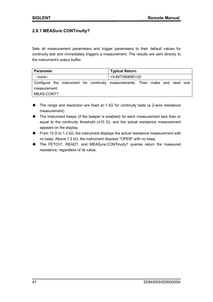## **2.8.1 MEASure:CONTinuity?**

Sets all measurement parameters and trigger parameters to their default values for continuity test and immediately triggers a measurement. The results are sent directly to the instrument's output buffer.

| <b>Parameter</b> |  |  | <b>Typical Return</b>                                                        |  |  |  |
|------------------|--|--|------------------------------------------------------------------------------|--|--|--|
| (none)           |  |  | +9.84739065E+02                                                              |  |  |  |
|                  |  |  | Configure the instrument for continuity measurements. Then make and read one |  |  |  |
| measurement:     |  |  |                                                                              |  |  |  |
| MEAS:CONT?       |  |  |                                                                              |  |  |  |

- The range and resolution are fixed at 1 kΩ for continuity tests (a 2-wire resistance measurement).
- The instrument beeps (if the beeper is enabled) for each measurement less than or equal to the continuity threshold ( $\leq 10 \Omega$ ), and the actual resistance measurement appears on the display.
- From 10  $\Omega$  to 1.2 k $\Omega$ , the instrument displays the actual resistance measurement with no beep. Above 1.2 kΩ, the instrument displays "OPEN" with no beep.
- The FETCh?, READ?, and MEASure:CONTinuity? queries return the measured resistance, regardless of its value.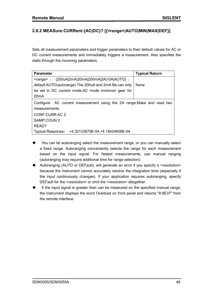# **2.8.2 MEASure:CURRent:{AC|DC}? [{<range>|AUTO|MIN|MAX|DEF}]**

Sets all measurement parameters and trigger parameters to their default values for AC or DC current measurements and immediately triggers a measurement. Also specifies the stalls through the incoming parameters.

| <b>Parameter</b>                                                       | <b>Typical Return</b> |  |  |  |
|------------------------------------------------------------------------|-----------------------|--|--|--|
| $\langle \text{range} \rangle$ : {200uA 2mA 20mA 200mA 2A 10A AUTO},   |                       |  |  |  |
| default AUTO(autorange). The 200uA and 2mA file can only               | <b>None</b>           |  |  |  |
| be set in DC current mode, AC mode minimum gear for                    |                       |  |  |  |
| 20 <sub>m</sub> A                                                      |                       |  |  |  |
| Configure AC current measurement using the 2A range. Make and read two |                       |  |  |  |
| measurements:                                                          |                       |  |  |  |
| CONF:CURR:AC 2                                                         |                       |  |  |  |
| SAMP:COUN 2                                                            |                       |  |  |  |
| READ?                                                                  |                       |  |  |  |
| <b>Typical Response:</b><br>+4.32133675E-04, +4.18424606E-04           |                       |  |  |  |

- You can let autoranging select the measurement range, or you can manually select a fixed range. Autoranging conveniently selects the range for each measurement based on the input signal. For fastest measurements, use manual ranging (autoranging may require additional time for range selection).
- Autoranging (AUTO or DEFault), will generate an error if you specify a <*resolution*> because the instrument cannot accurately resolve the integration time (especially if the input continuously changes). If your application requires autoranging, specify DEFault for the <*resolution*> or omit the <*resolution*> altogether.
- If the input signal is greater than can be measured on the specified manual range, the instrument displays the word Overload on front panel and returns "9.9E37" from the remote interface.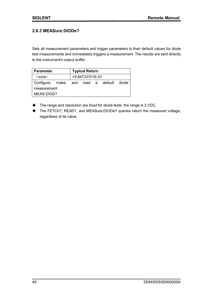## **2.8.3 MEASure:DIODe?**

Sets all measurement parameters and trigger parameters to their default values for diode test measurements and immediately triggers a measurement. The results are sent directly to the instrument's output buffer.

| <b>Parameter</b>                          |                 | <b>Typical Return</b> |  |  |  |  |
|-------------------------------------------|-----------------|-----------------------|--|--|--|--|
| (none)                                    | +9.84733701E-01 |                       |  |  |  |  |
| Configure, make, and read a default diode |                 |                       |  |  |  |  |
| measurement:                              |                 |                       |  |  |  |  |
| MEAS:DIOD?                                |                 |                       |  |  |  |  |

- The range and resolution are *fixed* for diode tests: the range is 2 VDC.
- The FETCh?, READ?, and MEASure:DIODe? queries return the measured voltage, regardless of its value.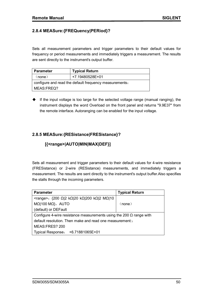## **2.8.4 MEASure:{FREQuency|PERiod}?**

Sets all measurement parameters and trigger parameters to their default values for frequency or period measurements and immediately triggers a measurement. The results are sent directly to the instrument's output buffer.

| Parameter                                              | <b>Typical Return</b> |  |  |
|--------------------------------------------------------|-----------------------|--|--|
| (none)                                                 | +7.19480528E+01       |  |  |
| configure and read the default frequency measurements. |                       |  |  |
| MEAS:FREQ?                                             |                       |  |  |

If the input voltage is too large for the selected voltage range (manual ranging), the instrument displays the word Overload on the front panel and returns "9.9E37" from the remote interface. Autoranging can be enabled for the input voltage.

## **2.8.5 MEASure:{RESistance|FRESistance}?**

## **[{<range>|AUTO|MIN|MAX|DEF}]**

Sets all measurement and trigger parameters to their default values for 4-wire resistance (FRESistance) or 2-wire (RESistance) measurements, and immediately triggers a measurement. The results are sent directly to the instrument's output buffer.Also specifies the stalls through the incoming parameters.

| <b>Parameter</b>                                                           | <b>Typical Return</b> |  |
|----------------------------------------------------------------------------|-----------------------|--|
| <range>: {200 Ω 2 kΩ 20 kΩ 200 kΩ 2 MΩ 10</range>                          |                       |  |
| $M\Omega$  100 M $\Omega$ }, AUTO                                          | (none)                |  |
| (default) or DEFault                                                       |                       |  |
| Configure 4-wire resistance measurements using the 200 $\Omega$ range with |                       |  |
| default resolution. Then make and read one measurement:                    |                       |  |
| MEAS:FRES? 200                                                             |                       |  |
| Typical Response: +6.71881065E+01                                          |                       |  |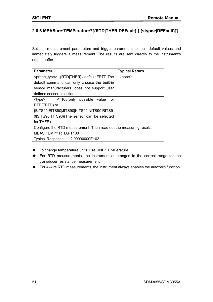# **2.8.6 MEASure:TEMPerature?[{RTD|THER|DEFault} [,{<type>|DEFault}]]**

Sets all measurement parameters and trigger parameters to their default values and immediately triggers a measurement. The results are sent directly to the instrument's output buffer.

| <b>Parameter</b>                                                    | <b>Typical Return</b> |  |
|---------------------------------------------------------------------|-----------------------|--|
| <probe type="">: {RTD THER}, default FRTD. The</probe>              | (none)                |  |
| default command can only choose the built-in                        |                       |  |
| sensor manufacturers, does not support user                         |                       |  |
| defined sensor selection.                                           |                       |  |
| $lt; type$ : PT100(only possible value<br>for                       |                       |  |
| RTD/FRTD) or                                                        |                       |  |
| {BITS90 EITS90 JITS90 KITS90 NITS90 RITS9                           |                       |  |
| 0 SITS90 TITS90}(The sensor can be selected                         |                       |  |
| for THER)                                                           |                       |  |
| Configure the RTD measurement. Then read out the measuring results: |                       |  |
| MEAS:TEMP? RTD, PT100                                               |                       |  |
| Typical Response: -2.00000000E+02                                   |                       |  |

- ◆ To change temperature units, use UNIT:TEMPerature.
- For RTD measurements, the instrument autoranges to the correct range for the transducer resistance measurement.
- For 4-wire RTD measurements, the instrument always enables the autozero function.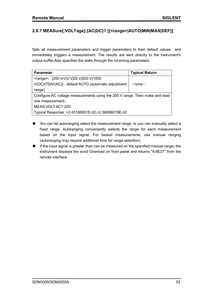# **2.8.7 MEASure[:VOLTage]:{AC|DC}? [{<range>|AUTO|MIN|MAX|DEF}]**

Sets all measurement parameters and trigger parameters to their default values and immediately triggers a measurement. The results are sent directly to the instrument's output buffer.Also specifies the stalls through the incoming parameters.

| <b>Parameter</b>                                                            | <b>Typical Return</b> |  |  |  |
|-----------------------------------------------------------------------------|-----------------------|--|--|--|
| <range>: {200 mV 2 V 20 V 200 V 1000</range>                                |                       |  |  |  |
| V(DC)/750V(AC)}, default AUTO (automatic adjustment                         | (none)                |  |  |  |
| range)                                                                      |                       |  |  |  |
| Configure AC voltage measurements using the 200 V range. Then make and read |                       |  |  |  |
| one measurement.                                                            |                       |  |  |  |
| MEAS: VOLT: AC? 200                                                         |                       |  |  |  |
| Typical Response: +2.43186951E-02,+2.56896019E-02                           |                       |  |  |  |

- You can let autoranging select the measurement range, or you can manually select a fixed range. Autoranging conveniently selects the range for each measurement based on the input signal. For fastest measurements, use manual ranging (autoranging may require additional time for range selection).
- $\blacklozenge$  If the input signal is greater than can be measured on the specified manual range, the instrument displays the word Overload on front panel and returns "9.9E37" from the remote interface.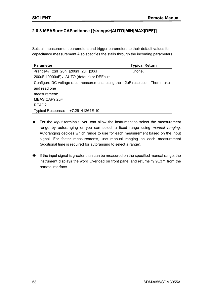## **2.8.8 MEASure:CAPacitance [{<range>|AUTO|MIN|MAX|DEF}]**

Sets all measurement parameters and trigger parameters to their default values for capacitance measurement.Also specifies the stalls through the incoming parameters

| ٠                                                                           |                       |  |  |
|-----------------------------------------------------------------------------|-----------------------|--|--|
| <b>Parameter</b>                                                            | <b>Typical Return</b> |  |  |
| <range>: {2nF 20nF 200nF 2uF  20uF </range>                                 | (none)                |  |  |
| 200uF 10000uF}, AUTO (default) or DEFault                                   |                       |  |  |
| Configure DC voltage ratio measurements using the 2uF resolution. Then make |                       |  |  |
| and read one                                                                |                       |  |  |
| measurement:                                                                |                       |  |  |
| MEAS:CAP? 2uF                                                               |                       |  |  |
| READ?                                                                       |                       |  |  |
| +7.26141264E-10<br><b>Typical Response:</b>                                 |                       |  |  |

- For the *Input* terminals, you can allow the instrument to select the measurement range by autoranging or you can select a fixed range using *manual ranging*. Autoranging decides which range to use for each measurement based on the input signal. For faster measurements, use manual ranging on each measurement (additional time is required for autoranging to select a range).
- $\blacklozenge$  If the input signal is greater than can be measured on the specified manual range, the instrument displays the word Overload on front panel and returns "9.9E37" from the remote interface.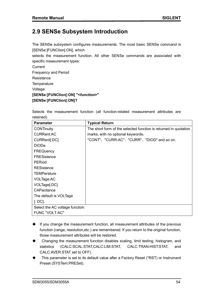# **2.9 SENSe Subsystem Introduction**

The SENSe subsystem configures measurements. The most basic SENSe command is [SENSe:]FUNCtion[:ON], which

selects the measurement function. All other SENSe commands are associated with specific measurement types:

**Current** Frequency and Period **Resistance Temperature** Voltage **[SENSe:]FUNCtion[:ON] "<***function***>" [SENSe:]FUNCtion[:ON]?**

Selects the measurement function (all function-related measurement attributes are retained).

| <b>Parameter</b>                | <b>Typical Return</b>                                            |
|---------------------------------|------------------------------------------------------------------|
| <b>CONTinuity</b>               | The short form of the selected function is returned in quotation |
| <b>CURRent:AC</b>               | marks, with no optional keywords:                                |
| CURRent[:DC]                    | "CONT"、"CURR:AC"、"CURR"、"DIOD" and so on.                        |
| <b>DIODe</b>                    |                                                                  |
| <b>FREQuency</b>                |                                                                  |
| <b>FRESistance</b>              |                                                                  |
| PERiod                          |                                                                  |
| <b>RESistance</b>               |                                                                  |
| <b>TEMPerature</b>              |                                                                  |
| VOLTage:AC                      |                                                                  |
| VOLTage[:DC]                    |                                                                  |
| CAPacitance                     |                                                                  |
| The default is VOLTage          |                                                                  |
| $\lbrack$ : DC].                |                                                                  |
| Select the AC voltage function: |                                                                  |
| <b>FUNC "VOLT:AC"</b>           |                                                                  |

- $\blacklozenge$  If you change the measurement function, all measurement attributes of the previous function (range, resolution,etc.) are remembered. If you return to the original function, those measurement attributes will be restored.
- Changing the measurement function disables scaling, limit testing, histogram, and statistics (CALC:SCAL:STAT,CALC:LIM:STAT, CALC:TRAN:HIST:STAT, and CALC:AVER:STAT set to OFF).
- This parameter is set to its default value after a Factory Reset (\*RST) or Instrument Preset (SYSTem:PRESet).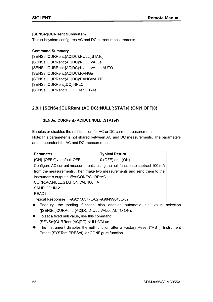#### **[SENSe:]CURRent Subsystem**

This subsystem configures AC and DC current measurements.

#### **Command Summary**

[SENSe:]CURRent:{AC|DC}:NULL[:STATe] [SENSe:]CURRent:{AC|DC}:NULL:VALue [SENSe:]CURRent:{AC|DC}:NULL:VALue:AUTO [SENSe:]CURRent:{AC|DC}:RANGe [SENSe:]CURRent:{AC|DC}:RANGe:AUTO [SENSe:]CURRent[:DC]:NPLC [SENSe]:CURRent[:DC]:FILTer[:STATe]

# **2.9.1 [SENSe:]CURRent:{AC|DC}:NULL[:STATe] {ON|1|OFF|0}**

## **[SENSe:]CURRent:{AC|DC}:NULL[:STATe]?**

Enables or disables the null function for AC or DC current measurements. Note:This parameter is not shared between AC and DC measurements. The parameters are independent for AC and DC measurements.

| <b>Parameter</b>                                            | <b>Typical Return</b>                                                         |  |  |  |
|-------------------------------------------------------------|-------------------------------------------------------------------------------|--|--|--|
| {ON 1 OFF 0}, default OFF                                   | $0$ (OFF) or $1$ (ON)                                                         |  |  |  |
|                                                             | Configure AC current measurements, using the null function to subtract 100 mA |  |  |  |
|                                                             | from the measurements. Then make two measurements and send them to the        |  |  |  |
| instrument's output buffer:CONF:CURR:AC                     |                                                                               |  |  |  |
| CURR:AC:NULL:STAT ON;VAL 100mA                              |                                                                               |  |  |  |
| SAMP:COUN 2                                                 |                                                                               |  |  |  |
| READ?                                                       |                                                                               |  |  |  |
| -9.92150377E-02,-9.98499843E-02<br><b>Typical Response:</b> |                                                                               |  |  |  |

- Enabling the scaling function also enables automatic null value selection ([SENSe:]CURRent: {AC|DC}:NULL:VALue:AUTO ON).
- $\blacklozenge$  To set a fixed null value, use this command: [SENSe:]CURRent:{AC|DC}:NULL:VALue.
- The instrument disables the null function after a Factory Reset (\*RST), Instrument Preset (SYSTem:PRESet), or CONFigure function.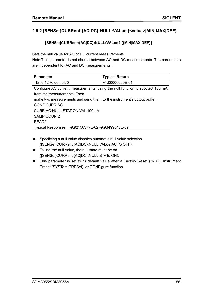# **2.9.2 [SENSe:]CURRent:{AC|DC}:NULL:VALue {<value>|MIN|MAX|DEF}**

#### **[SENSe:]CURRent:{AC|DC}:NULL:VALue? [{MIN|MAX|DEF}]**

Sets the null value for AC or DC current measurements.

Note:This parameter is not shared between AC and DC measurements. The parameters are independent for AC and DC measurements.

| <b>Parameter</b>                                                       | <b>Typical Return</b>                                                         |  |  |  |
|------------------------------------------------------------------------|-------------------------------------------------------------------------------|--|--|--|
| -12 to 12 A, default $0$                                               | +1.00000000E-01                                                               |  |  |  |
|                                                                        | Configure AC current measurements, using the null function to subtract 100 mA |  |  |  |
| from the measurements. Then                                            |                                                                               |  |  |  |
| make two measurements and send them to the instrument's output buffer: |                                                                               |  |  |  |
| CONF:CURR:AC                                                           |                                                                               |  |  |  |
| CURR:AC:NULL:STAT ON;VAL 100mA                                         |                                                                               |  |  |  |
| SAMP:COUN 2                                                            |                                                                               |  |  |  |
| READ?                                                                  |                                                                               |  |  |  |
| -9.92150377E-02,-9.98499843E-02<br><b>Typical Response:</b>            |                                                                               |  |  |  |

- Specifying a null value disables automatic null value selection ([SENSe:]CURRent:{AC|DC}:NULL:VALue:AUTO OFF).
- $\blacklozenge$  To use the null value, the null state must be on ([SENSe:]CURRent:{AC|DC}:NULL:STATe ON).
- This parameter is set to its default value after a Factory Reset (\*RST), Instrument Preset (SYSTem:PRESet), or CONFigure function.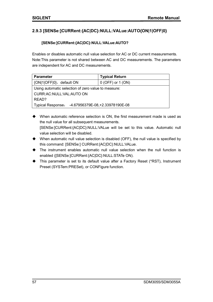# **2.9.3 [SENSe:]CURRent:{AC|DC}:NULL:VALue:AUTO{ON|1|OFF|0}**

#### **[SENSe:]CURRent:{AC|DC}:NULL:VALue:AUTO?**

Enables or disables automatic null value selection for AC or DC current measurements. Note:This parameter is not shared between AC and DC measurements. The parameters are independent for AC and DC measurements.

| <b>Parameter</b>                                    | <b>Typical Return</b> |  |
|-----------------------------------------------------|-----------------------|--|
| {ON 1 OFF 0}, default ON                            | $0$ (OFF) or 1 (ON)   |  |
| Using automatic selection of zero value to measure: |                       |  |
| CURR:AC:NULL:VAL:AUTO ON                            |                       |  |
| READ?                                               |                       |  |
| Typical Response: -4.67956379E-08, +2.33978190E-08  |                       |  |

- When automatic reference selection is ON, the first measurement made is used as the null value for all subsequent measurements. [SENSe:]CURRent:{AC|DC}:NULL:VALue will be set to this value. Automatic null value selection will be disabled.
- $\blacklozenge$  When automatic null value selection is disabled (OFF), the null value is specified by this command: [SENSe:] CURRent:{AC|DC}:NULL:VALue.
- The instrument enables automatic null value selection when the null function is enabled ([SENSe:]CURRent:{AC|DC}:NULL:STATe ON).
- This parameter is set to its default value after a Factory Reset (\*RST), Instrument Preset (SYSTem:PRESet), or CONFigure function.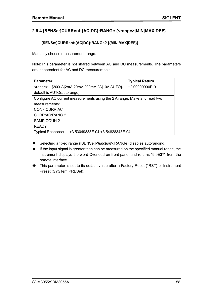## **2.9.4 [SENSe:]CURRent:{AC|DC}:RANGe {<range>|MIN|MAX|DEF}**

#### **[SENSe:]CURRent:{AC|DC}:RANGe? [{MIN|MAX|DEF}]**

Manually choose measurement range.

Note:This parameter is not shared between AC and DC measurements. The parameters are independent for AC and DC measurements.

| <b>Parameter</b>                                                         | <b>Typical Return</b> |
|--------------------------------------------------------------------------|-----------------------|
| <range>: {200uA 2mA 20mA 200mA 2A 10A AUTO},</range>                     | +2.00000000E-01       |
| default is AUTO (autorange).                                             |                       |
| Configure AC current measurements using the 2 A range. Make and read two |                       |
| measurements:                                                            |                       |
| CONF:CURR:AC                                                             |                       |
| CURR: AC: RANG 2                                                         |                       |
| SAMP:COUN 2                                                              |                       |
| READ?                                                                    |                       |
| +3.53049833E-04, +3.54828343E-04<br><b>Typical Response:</b>             |                       |

- Selecting a fixed range ([SENSe:]<*function*>:RANGe) disables autoranging.
- $\blacklozenge$  If the input signal is greater than can be measured on the specified manual range, the instrument displays the word Overload on front panel and returns "9.9E37" from the remote interface.
- ◆ This parameter is set to its default value after a Factory Reset (\*RST) or Instrument Preset (SYSTem:PRESet).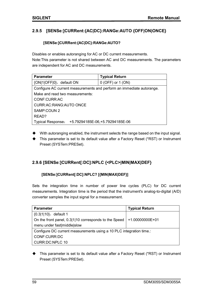# **2.9.5 [SENSe:]CURRent:{AC|DC}:RANGe:AUTO {OFF|ON|ONCE}**

#### **[SENSe:]CURRent:{AC|DC}:RANGe:AUTO?**

Disables or enables autoranging for AC or DC current measurements.

Note:This parameter is not shared between AC and DC measurements. The parameters are independent for AC and DC measurements.

| <b>Parameter</b>                                                      | <b>Typical Return</b>            |  |
|-----------------------------------------------------------------------|----------------------------------|--|
| {ON 1 OFF 0}, default ON                                              | $0$ (OFF) or $1$ (ON)            |  |
| Configure AC current measurements and perform an immediate autorange. |                                  |  |
| Make and read two measurements:                                       |                                  |  |
| CONF:CURR:AC                                                          |                                  |  |
| CURR: AC: RANG: AUTO ONCE                                             |                                  |  |
| SAMP:COUN 2                                                           |                                  |  |
| READ?                                                                 |                                  |  |
| <b>Typical Response:</b>                                              | +5.79294185E-06, +5.79294185E-06 |  |

- With autoranging enabled, the instrument selects the range based on the input signal.
- This parameter is set to its default value after a Factory Reset (\*RST) or Instrument Preset (SYSTem:PRESet).

## **2.9.6 [SENSe:]CURRent[:DC]:NPLC {<PLC>|MIN|MAX|DEF}**

#### **[SENSe:]CURRent[:DC]:NPLC? [{MIN|MAX|DEF}]**

Sets the integration time in number of power line cycles (PLC) for DC current measurements. Integration time is the period that the instrument's analog-to-digital (A/D) converter samples the input signal for a measurement.

| <b>Parameter</b>                                                    | <b>Typical Return</b> |
|---------------------------------------------------------------------|-----------------------|
| $\{0.3 1 10\}$ , default 1                                          |                       |
| On the front panel, 0.3 1 10 corresponds to the Speed               | +1.00000000E+01       |
| menu under fast middle slow                                         |                       |
| Configure DC current measurements using a 10 PLC integration time.: |                       |
| CONF:CURR:DC                                                        |                       |
| <b>CURR:DC:NPLC 10</b>                                              |                       |

This parameter is set to its default value after a Factory Reset (\*RST) or Instrument Preset (SYSTem:PRESet).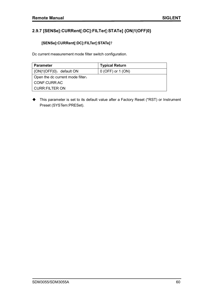# **2.9.7 [SENSe]:CURRent[:DC]:FILTer[:STATe] {ON|1|OFF|0}**

## **[SENSe]:CURRent[:DC]:FILTer[:STATe]**?

Dc current measurement mode filter switch configuration.

| <b>Parameter</b>                 | <b>Typical Return</b> |
|----------------------------------|-----------------------|
| {ON 1 OFF 0}, default ON         | $0$ (OFF) or 1 (ON)   |
| Open the dc current mode filter. |                       |
| CONF:CURR:AC                     |                       |
| <b>CURR:FILTER ON</b>            |                       |

◆ This parameter is set to its default value after a Factory Reset (\*RST) or Instrument Preset (SYSTem:PRESet).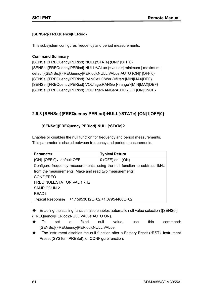#### **[SENSe:]{FREQuency|PERiod}**

This subsystem configures frequency and period measurements.

#### **Command Summary**

[SENSe:]{FREQuency|PERiod}:NULL[:STATe] {ON|1|OFF|0} [SENSe:]{FREQuency|PERiod}:NULL:VALue {<value>| minimum | maximum | default}[SENSe:]{FREQuency|PERiod}:NULL:VALue:AUTO {ON|1|OFF|0} [SENSe:]{FREQuency|PERiod}:RANGe:LOWer {<filter>|MIN|MAX|DEF} [SENSe:]{FREQuency|PERiod}:VOLTage:RANGe {<range>|MIN|MAX|DEF} [SENSe:]{FREQuency|PERiod}:VOLTage:RANGe:AUTO {OFF|ON|ONCE}

# **2.9.8 [SENSe:]{FREQuency|PERiod}:NULL[:STATe] {ON|1|OFF|0}**

## **[SENSe:]{FREQuency|PERiod}:NULL[:STATe]?**

Enables or disables the null function for frequency and period measurements. This parameter is shared between frequency and period measurements.

| <b>Parameter</b>                                                           | <b>Typical Return</b>           |  |
|----------------------------------------------------------------------------|---------------------------------|--|
| {ON 1 OFF 0}, default OFF                                                  | $0$ (OFF) or $1$ (ON)           |  |
| Configure frequency measurements, using the null function to subtract 1kHz |                                 |  |
| from the measurements. Make and read two measurements:                     |                                 |  |
| CONF:FREQ                                                                  |                                 |  |
| FREQ:NULL:STAT ON; VAL 1 kHz                                               |                                 |  |
| SAMP:COUN 2                                                                |                                 |  |
| READ?                                                                      |                                 |  |
| <b>Typical Response:</b>                                                   | +1.15953012E+02,+1.07954466E+02 |  |

◆ Enabling the scaling function also enables automatic null value selection ([SENSe:] {FREQuency|PERiod}:NULL:VALue:AUTO ON).

- To set a fixed null value, use this command: [SENSe:]{FREQuency|PERiod}:NULL:VALue.
- The instrument disables the null function after a Factory Reset (\*RST), Instrument Preset (SYSTem:PRESet), or CONFigure function.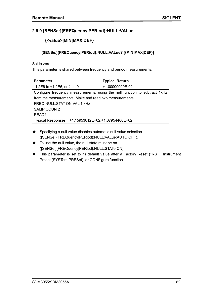# **2.9.9 [SENSe:]{FREQuency|PERiod}:NULL:VALue**

# **{<value>|MIN|MAX|DEF}**

#### **[SENSe:]{FREQuency|PERiod}:NULL:VALue? [{MIN|MAX|DEF}]**

Set to zero

This parameter is shared between frequency and period measurements.

| <b>Parameter</b>                                                           | <b>Typical Return</b>           |  |
|----------------------------------------------------------------------------|---------------------------------|--|
| $-1.2E6$ to $+1.2E6$ , default 0                                           | +1.00000000E-02                 |  |
| Configure frequency measurements, using the null function to subtract 1kHz |                                 |  |
| from the measurements. Make and read two measurements:                     |                                 |  |
| FREQ: NULL: STAT ON; VAL 1 kHz                                             |                                 |  |
| SAMP:COUN 2                                                                |                                 |  |
| READ?                                                                      |                                 |  |
| <b>Typical Response:</b>                                                   | +1.15953012E+02,+1.07954466E+02 |  |

- ◆ Specifying a null value disables automatic null value selection ([SENSe:]{FREQuency|PERiod}:NULL:VALue:AUTO OFF).
- To use the null value, the null state must be on ([SENSe:]{FREQuency|PERiod}:NULL:STATe ON).
- This parameter is set to its default value after a Factory Reset (\*RST), Instrument Preset (SYSTem:PRESet), or CONFigure function.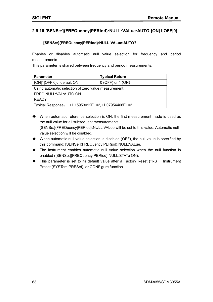## **2.9.10 [SENSe:]{FREQuency|PERiod}:NULL:VALue:AUTO {ON|1|OFF|0}**

#### **[SENSe:]{FREQuency|PERiod}:NULL:VALue:AUTO?**

Enables or disables automatic null value selection for frequency and period measurements.

This parameter is shared between frequency and period measurements.

| <b>Parameter</b>                                     | <b>Typical Return</b> |  |
|------------------------------------------------------|-----------------------|--|
| {ON 1 OFF 0}, default ON                             | $0$ (OFF) or 1 (ON)   |  |
| Using automatic selection of zero value measurement: |                       |  |
| FREQ:NULL:VAL:AUTO ON                                |                       |  |
| READ?                                                |                       |  |
| Typical Response: +1.15953012E+02,+1.07954466E+02    |                       |  |

- When automatic reference selection is ON, the first measurement made is used as the null value for all subsequent measurements. [SENSe:]{FREQuency|PERiod}:NULL:VALue will be set to this value. Automatic null value selection will be disabled.
- $\blacklozenge$  When automatic null value selection is disabled (OFF), the null value is specified by this command: [SENSe:]{FREQuency|PERiod}:NULL:VALue.
- The instrument enables automatic null value selection when the null function is enabled ([SENSe:]{FREQuency|PERiod}:NULL:STATe ON).
- This parameter is set to its default value after a Factory Reset (\*RST), Instrument Preset (SYSTem:PRESet), or CONFigure function.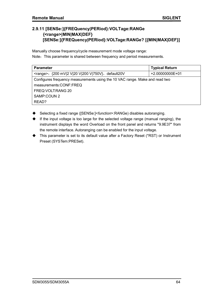# **2.9.11 [SENSe:]{FREQuency|PERiod}:VOLTage:RANGe {<range>|MIN|MAX|DEF} [SENSe:]{FREQuency|PERiod}:VOLTage:RANGe? [{MIN|MAX|DEF}]**

Manually choose frequency/cycle measurement mode voltage range: Note: This parameter is shared between frequency and period measurements.

| <b>Parameter</b>                                                            | <b>Typical Return</b> |  |
|-----------------------------------------------------------------------------|-----------------------|--|
| <range>: {200 mV 2 V 20 V 200 V 750V}, default20V</range>                   | +2.00000000E+01       |  |
| Configures frequency measurements using the 10 VAC range. Make and read two |                       |  |
| measurements:CONF:FREQ                                                      |                       |  |
| FREQ: VOLT: RANG 20                                                         |                       |  |
| SAMP:COUN 2                                                                 |                       |  |
| READ?                                                                       |                       |  |

- Selecting a fixed range ([SENSe:]<*function*>:RANGe) disables autoranging.
- $\blacklozenge$  If the input voltage is too large for the selected voltage range (manual ranging), the instrument displays the word Overload on the front panel and returns "9.9E37" from the remote interface. Autoranging can be enabled for the input voltage.
- This parameter is set to its default value after a Factory Reset (\*RST) or Instrument Preset (SYSTem:PRESet).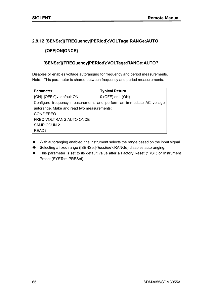## **2.9.12 [SENSe:]{FREQuency|PERiod}:VOLTage:RANGe:AUTO**

## **{OFF|ON|ONCE}**

## **[SENSe:]{FREQuency|PERiod}:VOLTage:RANGe:AUTO?**

Disables or enables voltage autoranging for frequency and period measurements. Note: This parameter is shared between frequency and period measurements.

| <b>Parameter</b>                                                     | <b>Typical Return</b> |  |
|----------------------------------------------------------------------|-----------------------|--|
| {ON 1 OFF 0}, default ON                                             | $0$ (OFF) or $1$ (ON) |  |
| Configure frequency measurements and perform an immediate AC voltage |                       |  |
| autorange. Make and read two measurements:                           |                       |  |
| CONF:FREQ                                                            |                       |  |
| FREQ: VOLT: RANG: AUTO ONCE                                          |                       |  |
| SAMP:COUN 2                                                          |                       |  |
| READ?                                                                |                       |  |

- With autoranging enabled, the instrument selects the range based on the input signal.
- Selecting a fixed range ([SENSe:]<*function*>:RANGe) disables autoranging.
- ◆ This parameter is set to its default value after a Factory Reset (\*RST) or Instrument Preset (SYSTem:PRESet).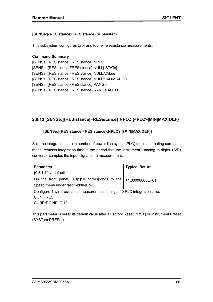#### **[SENSe:]{RESistance|FRESistance} Subsystem**

This subsystem configures two- and four-wire resistance measurements.

#### **Command Summary**

[SENSe:]{RESistance|FRESistance}:NPLC [SENSe:]{RESistance|FRESistance}:NULL[:STATe] [SENSe:]{RESistance|FRESistance}:NULL:VALue [SENSe:]{RESistance|FRESistance}:NULL:VALue:AUTO [SENSe:]{RESistance|FRESistance}:RANGe [SENSe:]{RESistance|FRESistance}:RANGe:AUTO

# **2.9.13 [SENSe:]{RESistance|FRESistance}:NPLC {<PLC>|MIN|MAX|DEF}**

#### **[SENSe:]{RESistance|FRESistance}:NPLC? [{MIN|MAX|DEF}]**

Sets the integration time in number of power line cycles (PLC) for all alternating current measurements.Integration time is the period that the instrument's analog-to-digital (A/D) converter samples the input signal for a measurement.

| <b>Parameter</b>                                                          | <b>Typical Return</b> |  |
|---------------------------------------------------------------------------|-----------------------|--|
| ${0.3 1 10}$ , default 1                                                  |                       |  |
| On the front panel, 0.3 1 10 corresponds to the                           | +1.00000000E+01       |  |
| Speed menu under fast middle slow                                         |                       |  |
| Configure 4-wire resistance measurements using a 10 PLC integration time. |                       |  |
| <b>CONF:RES</b>                                                           |                       |  |
| <b>CURR:DC:NPLC 10</b>                                                    |                       |  |

This parameter is set to its default value after a Factory Reset (\*RST) or Instrument Preset (SYSTem:PRESet).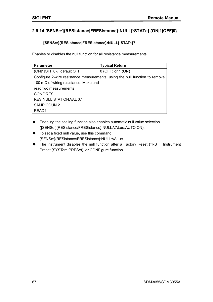# **2.9.14 [SENSe:]{RESistance|FRESistance}:NULL[:STATe] {ON|1|OFF|0}**

#### **[SENSe:]{RESistance|FRESistance}:NULL[:STATe]?**

Enables or disables the null function for all resistance measurements.

| <b>Parameter</b>                              | <b>Typical Return</b>                                                       |  |
|-----------------------------------------------|-----------------------------------------------------------------------------|--|
| {ON 1 OFF 0}, default OFF                     | $0$ (OFF) or $1$ (ON)                                                       |  |
|                                               | Configure 2-wire resistance measurements, using the null function to remove |  |
| 100 m $\Omega$ of wiring resistance. Make and |                                                                             |  |
| read two measurements                         |                                                                             |  |
| CONF:RES                                      |                                                                             |  |
| RES:NULL:STAT ON; VAL 0.1                     |                                                                             |  |
| SAMP:COUN 2                                   |                                                                             |  |
| READ?                                         |                                                                             |  |

- ◆ Enabling the scaling function also enables automatic null value selection ([SENSe:]{RESistance/FRESistance}:NULL:VALue:AUTO ON).
- $\blacklozenge$  To set a fixed null value, use this command: [SENSe:]{RESistance/FRESistance}:NULL:VALue.
- The instrument disables the null function after a Factory Reset (\*RST), Instrument Preset (SYSTem:PRESet), or CONFigure function.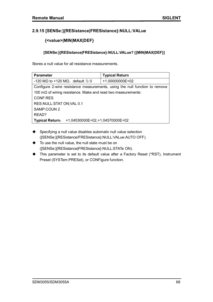## **2.9.15 [SENSe:]{RESistance|FRESistance}:NULL:VALue**

# **{<value>|MIN|MAX|DEF}**

#### **[SENSe:]{RESistance|FRESistance}:NULL:VALue? [{MIN|MAX|DEF}]**

Stores a null value for all resistance measurements.

| <b>Parameter</b>                                                            | <b>Typical Return</b> |  |
|-----------------------------------------------------------------------------|-----------------------|--|
| -120 M $\Omega$ to +120 M $\Omega$ , default $\sharp$ 0                     | $+1.00000000E+02$     |  |
| Configure 2-wire resistance measurements, using the null function to remove |                       |  |
| 100 m $\Omega$ of wiring resistance. Make and read two measurements:        |                       |  |
| <b>CONF:RES</b>                                                             |                       |  |
| RES:NULL:STAT ON; VAL 0.1                                                   |                       |  |
| SAMP:COUN 2                                                                 |                       |  |
| READ?                                                                       |                       |  |
| +1.04530000E+02,+1.04570000E+02<br><b>Typical Return:</b>                   |                       |  |

- ◆ Specifying a null value disables automatic null value selection ([SENSe:]{RESistance/FRESistance}:NULL:VALue:AUTO OFF).
- $\blacklozenge$  To use the null value, the null state must be on ([SENSe:]{RESistance|FRESistance}:NULL:STATe ON).
- This parameter is set to its default value after a Factory Reset (\*RST), Instrument Preset (SYSTem:PRESet), or CONFigure function.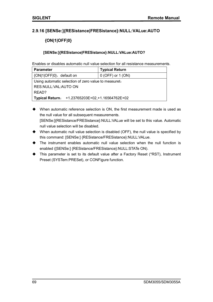## **2.9.16 [SENSe:]{RESistance|FRESistance}:NULL:VALue:AUTO**

# **{ON|1|OFF|0}**

#### **[SENSe:]{RESistance|FRESistance}:NULL:VALue:AUTO?**

Enables or disables automatic null value selection for all resistance measurements.

| <b>Parameter</b>                                     | <b>Typical Return</b> |  |
|------------------------------------------------------|-----------------------|--|
| {ON 1 OFF 0}, default on                             | $0$ (OFF) or 1 (ON)   |  |
| Using automatic selection of zero value to measuret. |                       |  |
| RES:NULL:VAL:AUTO ON                                 |                       |  |
| READ?                                                |                       |  |
| Typical Return: +1.23765203E+02,+1.16564762E+02      |                       |  |

- When automatic reference selection is ON, the first measurement made is used as the null value for all subsequent measurements. [SENSe:]{RESistance/FRESistance}:NULL:VALue will be set to this value. Automatic null value selection will be disabled.
- When automatic null value selection is disabled (OFF), the null value is specified by this command: [SENSe:] {RESistance/FRESistance}:NULL:VALue.
- The instrument enables automatic null value selection when the null function is enabled ([SENSe:] {RESistance/FRESistance}:NULL:STATe ON).
- This parameter is set to its default value after a Factory Reset (\*RST), Instrument Preset (SYSTem:PRESet), or CONFigure function.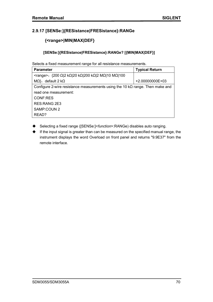# **2.9.17 [SENSe:]{RESistance|FRESistance}:RANGe**

# **{<range>|MIN|MAX|DEF}**

#### **[SENSe:]{RESistance|FRESistance}:RANGe? [{MIN|MAX|DEF}]**

Selects a fixed measurement range for all resistance measurements.

| <b>Parameter</b>                                                                      | <b>Typical Return</b> |  |
|---------------------------------------------------------------------------------------|-----------------------|--|
| $\langle \text{range} \rangle$ : {200 Ω 2 kΩ 20 kΩ 200 kΩ 2 MΩ 10 MΩ 100              |                       |  |
| default 2 $k\Omega$<br>MΩ},                                                           | $+2.00000000E+03$     |  |
| Configure 2-wire resistance measurements using the 10 k $\Omega$ range. Then make and |                       |  |
| read one measurement:                                                                 |                       |  |
| CONF:RES                                                                              |                       |  |
| RES: RANG 2E3                                                                         |                       |  |
| SAMP:COUN 2                                                                           |                       |  |
| READ?                                                                                 |                       |  |

- Selecting a fixed range ([SENSe:]<*function*>:RANGe) disables auto ranging.
- $\blacklozenge$  If the input signal is greater than can be measured on the specified manual range, the instrument displays the word Overload on front panel and returns "9.9E37" from the remote interface.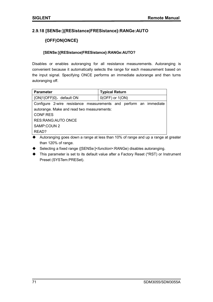## **2.9.18 [SENSe:]{RESistance|FRESistance}:RANGe:AUTO**

## **{OFF|ON|ONCE}**

#### **[SENSe:]{RESistance|FRESistance}:RANGe:AUTO?**

Disables or enables autoranging for all resistance measurements. Autoranging is convenient because it automatically selects the range for each measurement based on the input signal. Specifying ONCE performs an immediate autorange and then turns autoranging off.

| <b>Parameter</b>                           | <b>Typical Return</b>                                             |  |
|--------------------------------------------|-------------------------------------------------------------------|--|
| {ON 1 OFF 0}, default ON                   | $0(OFF)$ or $1(ON)$                                               |  |
|                                            | Configure 2-wire resistance measurements and perform an immediate |  |
| autorange. Make and read two measurements: |                                                                   |  |
| <b>CONF:RES</b>                            |                                                                   |  |
| <b>RES:RANG:AUTO ONCE</b>                  |                                                                   |  |
| SAMP:COUN 2                                |                                                                   |  |
| READ?                                      |                                                                   |  |

- Autoranging goes down a range at less than 10% of range and up a range at greater than 120% of range.
- Selecting a fixed range ([SENSe:]<*function*>:RANGe) disables autoranging.
- This parameter is set to its default value after a Factory Reset (\*RST) or Instrument Preset (SYSTem:PRESet).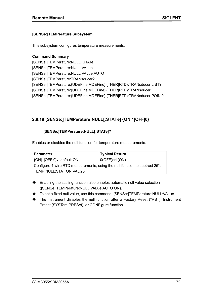#### **[SENSe:]TEMPerature Subsystem**

This subsystem configures temperature measurements.

**Command Summary** [SENSe:]TEMPerature:NULL[:STATe] [SENSe:]TEMPerature:NULL:VALue [SENSe:]TEMPerature:NULL:VALue:AUTO [SENSe:]TEMPerature:TRANsducer? [SENSe:]TEMPerature:{UDEFine|MDEFine}:{THER|RTD}:TRANsducer:LIST? [SENSe:]TEMPerature:{UDEFine|MDEFine}:{THER|RTD}:TRANsducer [SENSe:]TEMPerature:{UDEFine|MDEFine}:{THER|RTD}:TRANsducer:POINt?

### **2.9.19 [SENSe:]TEMPerature:NULL[:STATe] {ON|1|OFF|0}**

#### **[SENSe:]TEMPerature:NULL[:STATe]?**

Enables or disables the null function for temperature measurements.

| <b>Parameter</b>                                                            | <b>Typical Return</b> |  |
|-----------------------------------------------------------------------------|-----------------------|--|
| {ON 1 OFF 0}, default ON                                                    | $0(OFF)$ or1(ON)      |  |
| Configure 4-wire RTD measurements, using the null function to subtract 25°. |                       |  |
| TEMP:NULL:STAT ON;VAL 25                                                    |                       |  |

- ◆ Enabling the scaling function also enables automatic null value selection ([SENSe:]TEMPerature:NULL:VALue:AUTO ON).
- To set a fixed null value, use this command: [SENSe:]TEMPerature:NULL:VALue.
- The instrument disables the null function after a Factory Reset (\*RST), Instrument Preset (SYSTem:PRESet), or CONFigure function.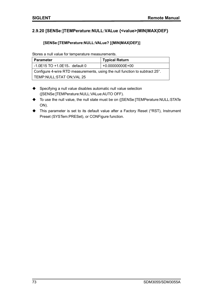### **2.9.20 [SENSe:]TEMPerature:NULL:VALue {<value>|MIN|MAX|DEF}**

#### **[SENSe:]TEMPerature:NULL:VALue? [{MIN|MAX|DEF}]**

Stores a null value for temperature measurements.

| Parameter                                                                              | <b>Typical Return</b> |  |
|----------------------------------------------------------------------------------------|-----------------------|--|
| $-1.0E15$ TO $+1.0E15$ , default 0                                                     | +0.00000000E+00       |  |
| Configure 4-wire RTD measurements, using the null function to subtract 25 $^{\circ}$ . |                       |  |
| TEMP:NULL:STAT ON;VAL 25                                                               |                       |  |

- Specifying a null value disables automatic null value selection ([SENSe:]TEMPerature:NULL:VALue:AUTO OFF).
- ◆ To use the null value, the null state must be on ([SENSe:]TEMPerature:NULL:STATe ON).
- This parameter is set to its default value after a Factory Reset (\*RST), Instrument Preset (SYSTem:PRESet), or CONFigure function.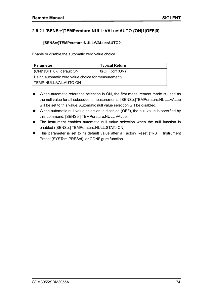# **2.9.21 [SENSe:]TEMPerature:NULL:VALue:AUTO {ON|1|OFF|0}**

#### **[SENSe:]TEMPerature:NULL:VALue:AUTO?**

Enable or disable the automatic zero value choice

| <b>Parameter</b>                                   | <b>Typical Return</b> |  |
|----------------------------------------------------|-----------------------|--|
| {ON 1 OFF 0}, default ON                           | $0(OFF)$ or1(ON)      |  |
| Using automatic zero value choice for measurement. |                       |  |
| TEMP:NULL:VAL:AUTO ON                              |                       |  |

- When automatic reference selection is ON, the first measurement made is used as the null value for all subsequent measurements. [SENSe:]TEMPerature:NULL:VALue will be set to this value. Automatic null value selection will be disabled.
- When automatic null value selection is disabled (OFF), the null value is specified by this command: [SENSe:] TEMPerature:NULL:VALue.
- The instrument enables automatic null value selection when the null function is enabled ([SENSe:] TEMPerature:NULL:STATe ON).
- This parameter is set to its default value after a Factory Reset (\*RST), Instrument Preset (SYSTem:PRESet), or CONFigure function.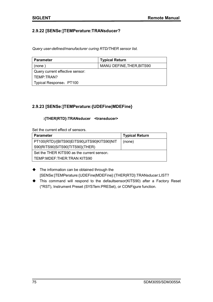### **2.9.22 [SENSe:]TEMPerature:TRANsducer?**

*Query user-defined/manufacturer curing RTD/THER sensor list.*

| <b>Parameter</b>                | <b>Typical Return</b>     |
|---------------------------------|---------------------------|
| (none)                          | MANU DEFINE, THER, BITS90 |
| Query current effective sensor: |                           |
| TEMP:TRAN?                      |                           |
| Typical Response: PT100         |                           |

### **2.9.23 [SENSe:]TEMPerature:{UDEFine|MDEFine}**

#### **:{THER|RTD}:TRANsducer <transducer>**

Set the current effect of sensors.

| <b>Parameter</b>                            | <b>Typical Return</b> |
|---------------------------------------------|-----------------------|
| PT100(RTD)/{BITS90 EITS90 JITS90 KITS90 NIT | (none)                |
| S90 RITS90 SITS90 TITS90}(THER)             |                       |
| Set the THER KITS90 as the current sensor.  |                       |
| TEMP:MDEF:THER:TRAN KITS90                  |                       |

- $\blacklozenge$  The information can be obtained through the [SENSe:]TEMPerature:{UDEFine|MDEFine}:{THER|RTD}:TRANsducer:LIST?
- This command will respond to the defaultsensor(KITS90) after a Factory Reset (\*RST), Instrument Preset (SYSTem:PRESet), or CONFigure function.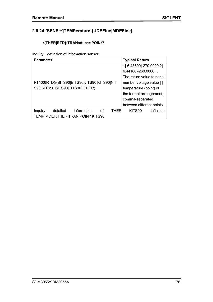# **2.9.24 [SENSe:]TEMPerature:{UDEFine|MDEFine}**

### **:{THER|RTD}:TRANsducer:POINt?**

Inquiry definition of information sensor.

| <b>Parameter</b>                                 | <b>Typical Return</b>      |
|--------------------------------------------------|----------------------------|
|                                                  | 1 -6.45800 -270.0000,2 -   |
|                                                  | 6.44100 -260.0000          |
|                                                  | The return value to serial |
| PT100(RTD)/{BITS90 EITS90 JITS90 KITS90 NIT      | number voltage value       |
| S90 RITS90 SITS90 TITS90}(THER)                  | temperature (point) of     |
|                                                  | the format arrangement,    |
|                                                  | comma-separated            |
|                                                  | between different points.  |
| information<br>detailed<br>THFR<br>Ωf<br>Inquiry | KITS90<br>definition       |
| TEMP: MDEF: THER: TRAN: POIN? KITS90             |                            |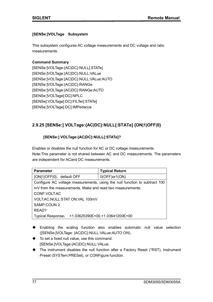#### **[SENSe:]VOLTage Subsystem**

This subsystem configures AC voltage measurements and DC voltage and ratio measurements.

#### **Command Summary**

[SENSe:]VOLTage:{AC|DC}:NULL[:STATe] [SENSe:]VOLTage:{AC|DC}:NULL:VALue [SENSe:]VOLTage:{AC|DC}:NULL:VALue:AUTO [SENSe:]VOLTage:{AC|DC}:RANGe [SENSe:]VOLTage:{AC|DC}:RANGe:AUTO [SENSe:]VOLTage[:DC]:NPLC [SENSe]:VOLTage[:DC]:FILTer[:STATe] [SENSe:]VOLTage[:DC]:IMPedance

# **2.9.25 [SENSe:] VOLTage:{AC|DC}:NULL[:STATe] {ON|1|OFF|0}**

### **[SENSe:] VOLTage:{AC|DC}:NULL[:STATe]?**

Enables or disables the null function for AC or DC voltage measurements. Note:This parameter is not shared between AC and DC measurements. The parameters are independent for ACand DC measurements.

| <b>Parameter</b>                                                           | <b>Typical Return</b>            |  |
|----------------------------------------------------------------------------|----------------------------------|--|
| {ON 1 OFF 0}, default OFF                                                  | $0(OFF)$ or1(ON)                 |  |
| Configure AC voltage measurements, using the null function to subtract 100 |                                  |  |
| mV from the measurements. Make and read two measurements:                  |                                  |  |
| CONF: VOLT: AC                                                             |                                  |  |
| VOLT:AC:NULL:STAT ON;VAL 100mV                                             |                                  |  |
| SAMP:COUN 2                                                                |                                  |  |
| READ?                                                                      |                                  |  |
| <b>Typical Response:</b>                                                   | +1.03625390E+00, +1.03641200E+00 |  |

- Enabling the scaling function also enables automatic null value selection ([SENSe:]VOLTage: {AC|DC}:NULL:VALue:AUTO ON).
- $\blacklozenge$  To set a fixed null value, use this command: [SENSe:]VOLTage:{AC|DC}:NULL:VALue.
- The instrument disables the null function after a Factory Reset (\*RST), Instrument Preset (SYSTem:PRESet), or CONFigure function.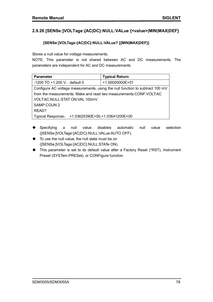### **2.9.26 [SENSe:]VOLTage:{AC|DC}:NULL:VALue {<value>|MIN|MAX|DEF}**

#### **[SENSe:]VOLTage:{AC|DC}:NULL:VALue? [{MIN|MAX|DEF}]**

Stores a null value for voltage measurements.

NOTE: This parameter is not shared between AC and DC measurements. The parameters are independent for AC and DC measurements.

| <b>Parameter</b>                                                              | <b>Typical Return</b>            |  |
|-------------------------------------------------------------------------------|----------------------------------|--|
| $-1200$ TO $+1,200$ V, default 0                                              | +1.00000000E+01                  |  |
| Configure AC voltage measurements, using the null function to subtract 100 mV |                                  |  |
| from the measurements. Make and read two measurements: CONF: VOLT: AC         |                                  |  |
| VOLT:AC:NULL:STAT ON;VAL 100mV                                                |                                  |  |
| SAMP:COUN 2                                                                   |                                  |  |
| READ?                                                                         |                                  |  |
| <b>Typical Response:</b>                                                      | +1.03625390E+00, +1.03641200E+00 |  |

- Specifying a null value disables automatic null value selection ([SENSe:]VOLTage:{AC|DC}:NULL:VALue:AUTO OFF).
- $\blacklozenge$  To use the null value, the null state must be on ([SENSe:]VOLTage:{AC|DC}:NULL:STATe ON).
- This parameter is set to its default value after a Factory Reset (\*RST), Instrument Preset (SYSTem:PRESet), or CONFigure function.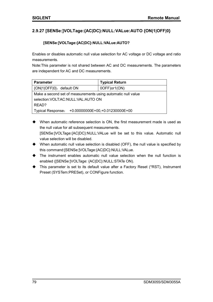### **2.9.27 [SENSe:]VOLTage:{AC|DC}:NULL:VALue:AUTO {ON|1|OFF|0}**

#### **[SENSe:]VOLTage:{AC|DC}:NULL:VALue:AUTO?**

Enables or disables automatic null value selection for AC voltage or DC voltage and ratio measurements.

Note:This parameter is not shared between AC and DC measurements. The parameters are independent for AC and DC measurements.

| <b>Parameter</b>                                             | <b>Typical Return</b> |  |
|--------------------------------------------------------------|-----------------------|--|
| {ON 1 OFF 0}, default ON                                     | 0OFF) or 1 (ON)       |  |
| Make a second set of measurements using automatic null value |                       |  |
| selection: VOLT: AC: NULL: VAL: AUTO ON                      |                       |  |
| READ?                                                        |                       |  |
| +0.00000000E+00,+0.01230000E+00<br><b>Typical Response:</b>  |                       |  |

- When automatic reference selection is ON, the first measurement made is used as the null value for all subsequent measurements. [SENSe:]VOLTage:{AC|DC}:NULL:VALue will be set to this value. Automatic null value selection will be disabled.
- When automatic null value selection is disabled (OFF), the null value is specified by this command:[SENSe:]VOLTage:{AC|DC}:NULL:VALue.
- The instrument enables automatic null value selection when the null function is enabled ([SENSe:]VOLTage: {AC|DC}:NULL:STATe ON).
- This parameter is set to its default value after a Factory Reset (\*RST), Instrument Preset (SYSTem:PRESet), or CONFigure function.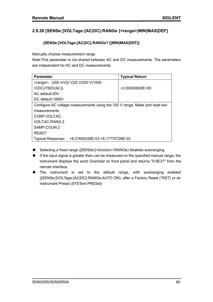# **2.9.28 [SENSe:]VOLTage:{AC|DC}:RANGe {<range>|MIN|MAX|DEF}**

### **[SENSe:]VOLTage:{AC|DC}:RANGe? [{MIN|MAX|DEF}]**

Manually choose measurement range

Note:This parameter is not shared between AC and DC measurements. The parameters are independent for AC and DC measurements.

| <b>Parameter</b>                                                           | <b>Typical Return</b> |  |
|----------------------------------------------------------------------------|-----------------------|--|
| <range>: {200 mV 2 V 20 V 200 V 1000</range>                               |                       |  |
| V(DC)/750V(AC)                                                             | $+2.00000000E+00$     |  |
| AC default:20V.                                                            |                       |  |
| DC default:1000V.                                                          |                       |  |
| Configure AC voltage measurements using the 100 V range. Make and read two |                       |  |
| measurements:                                                              |                       |  |
| CONF: VOLT: AC                                                             |                       |  |
| <b>VOLT:AC:RANG 2</b>                                                      |                       |  |
| SAMP:COUN 2                                                                |                       |  |
| READ?                                                                      |                       |  |
| +8.21650028E-03, +8.17775726E-03<br><b>Typical Response:</b>               |                       |  |

- Selecting a fixed range ([SENSe:]<*function*>:RANGe) disables autoranging.
- If the input signal is greater than can be measured on the specified manual range, the instrument displays the word Overload on front panel and returns "9.9E37" from the remote interface.
- The instrument is set to the default range, with autoranging enabled ([SENSe:]VOLTage:{AC|DC}:RANGe:AUTO ON), after a Factory Reset (\*RST) or an Instrument Preset (SYSTem:PRESet)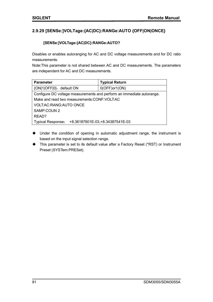# **2.9.29 [SENSe:]VOLTage:{AC|DC}:RANGe:AUTO {OFF|ON|ONCE}**

### **[SENSe:]VOLTage:{AC|DC}:RANGe:AUTO?**

Disables or enables autoranging for AC and DC voltage measurements and for DC ratio measurements.

Note:This parameter is not shared between AC and DC measurements. The parameters are independent for AC and DC measurements.

| <b>Parameter</b>                                                      | <b>Typical Return</b>            |  |
|-----------------------------------------------------------------------|----------------------------------|--|
| {ON 1 OFF 0}, default ON                                              | $0(OFF)$ or1(ON)                 |  |
| Configure DC voltage measurements and perform an immediate autorange. |                                  |  |
| Make and read two measurements: CONF: VOLT: AC                        |                                  |  |
| VOLT:AC:RANG:AUTO ONCE                                                |                                  |  |
| SAMP:COUN 2                                                           |                                  |  |
| READ?                                                                 |                                  |  |
| <b>Typical Response:</b>                                              | +8.36187601E-03, +8.34387541E-03 |  |

- Under the condition of opening in automatic adjustment range, the instrument is based on the input signal selection range.
- This parameter is set to its default value after a Factory Reset (\*RST) or Instrument Preset (SYSTem:PRESet).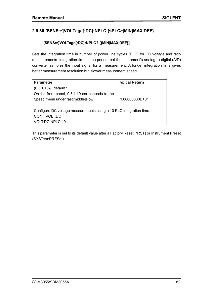# **2.9.30 [SENSe:]VOLTage[:DC]:NPLC {<PLC>|MIN|MAX|DEF}**

### **[SENSe:]VOLTage[:DC]:NPLC? [{MIN|MAX|DEF}]**

Sets the integration time in number of power line cycles (PLC) for DC voltage and ratio measurements. Integration time is the period that the instrument's analog-to-digital (A/D) converter samples the input signal for a measurement. A longer integration time gives better measurement resolution but slower measurement speed.

| <b>Parameter</b>                                                   | <b>Typical Return</b> |  |
|--------------------------------------------------------------------|-----------------------|--|
| $\{0.3 1 10\}$ , default 1                                         |                       |  |
| On the front panel, 0.3 1 10 corresponds to the                    |                       |  |
| Speed menu under fast middle slow                                  | +1.00000000E+01       |  |
|                                                                    |                       |  |
| Configure DC voltage measurements using a 10 PLC integration time. |                       |  |
| CONF: VOLT: DC                                                     |                       |  |
| VOLT:DC:NPLC 10                                                    |                       |  |

This parameter is set to its default value after a Factory Reset (\*RST) or Instrument Preset (SYSTem:PRESet).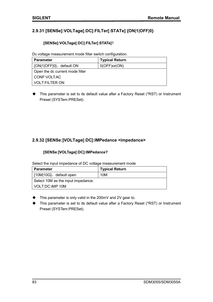# **2.9.31 [SENSe]:VOLTage[:DC]:FILTer[:STATe] {ON|1|OFF|0}**

#### **[SENSe]:VOLTage[:DC]:FILTer[:STATe]**?

Dc voltage measurement mode filter switch configuration.

| <b>Parameter</b>                | <b>Typical Return</b> |
|---------------------------------|-----------------------|
| {ON 1 OFF 0}, default ON        | 0(OFF)or(ON)          |
| Open the dc current mode filter |                       |
| l CONF:VOLT:AC                  |                       |
| <b>VOLT:FILTER ON</b>           |                       |

◆ This parameter is set to its default value after a Factory Reset (\*RST) or Instrument Preset (SYSTem:PRESet).

### **2.9.32 [SENSe:]VOLTage[:DC]:IMPedance <impedance>**

#### **[SENSe:]VOLTage[:DC]:IMPedance?**

Select the input impedance of DC voltage measurement mode

| <b>Parameter</b>                   | <b>Typical Return</b> |
|------------------------------------|-----------------------|
| {10M 10G}, default open            | 10M                   |
| Select 10M as the input impedance: |                       |
| VOLT:DC:IMP 10M                    |                       |

- This parameter is only valid in the 200mV and 2V gear to.
- This parameter is set to its default value after a Factory Reset (\*RST) or Instrument Preset (SYSTem:PRESet).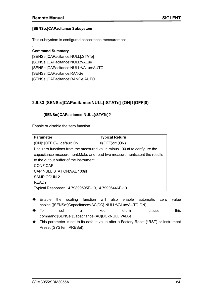#### **[SENSe:]CAPacitance Subsystem**

This subsystem is configured capacitance measurement.

#### **Command Summary**

.

[SENSe:]CAPacitance:NULL[:STATe] [SENSe:]CAPacitance:NULL:VALue [SENSe:]CAPacitance:NULL:VALue:AUTO [SENSe:]CAPacitance:RANGe [SENSe:]CAPacitance:RANGe:AUTO

### **2.9.33 [SENSe:]CAPacitance:NULL[:STATe] {ON|1|OFF|0}**

#### **[SENSe:]CAPacitance:NULL[:STATe]?**

Enable or disable the zero function.

| <b>Parameter</b>                                                          | <b>Typical Return</b> |  |
|---------------------------------------------------------------------------|-----------------------|--|
| {ON 1 OFF 0}, default ON                                                  | $0(OFF)$ or1(ON)      |  |
| Use zero functions from the measured value minus 100 nf to configure the  |                       |  |
| capacitance measurement. Make and read two measurements, sent the results |                       |  |
| to the output buffer of the instrument.                                   |                       |  |
| CONF:CAP                                                                  |                       |  |
| CAP:NULL:STAT ON;VAL 100nF                                                |                       |  |
| SAMP:COUN 2                                                               |                       |  |
| READ?                                                                     |                       |  |
| Typical Response: +4.79899595E-10, +4.79906446E-10                        |                       |  |

- Enable the scaling function will also enable automatic zero value choice.([SENSe:]Capacitance:{AC|DC}:NULL:VALue:AUTO ON).
- To set a fixedr eturn null,use this command:[SENSe:]Capacitance:{AC|DC}:NULL:VALue.
- ◆ This parameter is set to its default value after a Factory Reset (\*RST) or Instrument Preset (SYSTem:PRESet).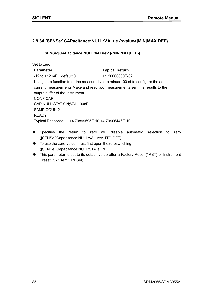### **2.9.34 [SENSe:]CAPacitance:NULL:VALue {<value>|MIN|MAX|DEF}**

#### **[SENSe:]CAPacitance:NULL:VALue? [{MIN|MAX|DEF}]**

Set to zero.

| <b>Parameter</b>                                                              | <b>Typical Return</b> |  |
|-------------------------------------------------------------------------------|-----------------------|--|
| $-12$ to $+12$ mF, default 0.                                                 | +1.20000000E-02       |  |
| Using zero function from the measured value minus 100 nf to configure the ac  |                       |  |
| current measurements. Make and read two measurements, sent the results to the |                       |  |
| output buffer of the instrument.                                              |                       |  |
| CONF:CAP                                                                      |                       |  |
| CAP:NULL:STAT ON;VAL 100nF                                                    |                       |  |
| SAMP:COUN 2                                                                   |                       |  |
| READ?                                                                         |                       |  |
| +4.79899595E-10, +4.79906446E-10<br><b>Typical Response:</b>                  |                       |  |

- Specifies the return to zero will disable automatic selection to zero ([SENSe:]Capacitance:NULL:VALue:AUTO OFF).
- $\blacklozenge$  To use the zero value, must first open thezeroswitching ([SENSe:]Capacitance:NULL:STATeON).
- This parameter is set to its default value after a Factory Reset (\*RST) or Instrument Preset (SYSTem:PRESet).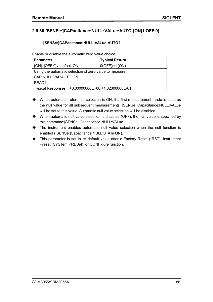### **2.9.35 [SENSe:]CAPacitance:NULL:VALue:AUTO {ON|1|OFF|0}**

#### **[SENSe:]CAPacitance:NULL:VALue:AUTO?**

Enable or disable the automatic zero value choice.

| <b>Parameter</b>                                        | <b>Typical Return</b>           |  |
|---------------------------------------------------------|---------------------------------|--|
| {ON 1 OFF 0}, default ON                                | $0(OFF)$ or1(ON)                |  |
| Using the automatic selection of zero value to measure. |                                 |  |
| CAP:NULL:VAL:AUTO ON                                    |                                 |  |
| READ?                                                   |                                 |  |
| Typical Response:                                       | +0.00000000E+00,+1.02300000E-01 |  |

- When automatic reference selection is ON, the first measurement made is used as the null value for all subsequent measurements. [SENSe:]Capacitance:NULL:VALue will be set to this value. Automatic null value selection will be disabled.
- When automatic null value selection is disabled (OFF), the null value is specified by this command:[SENSe:]Capacitance:NULL:VALue.
- The instrument enables automatic null value selection when the null function is enabled ([SENSe:]Capacitance:NULL:STATe ON).
- This parameter is set to its default value after a Factory Reset (\*RST), Instrument Preset (SYSTem:PRESet), or CONFigure function.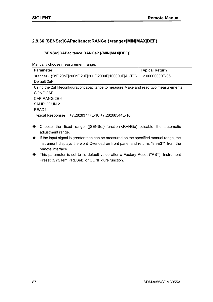# **2.9.36 [SENSe:]CAPacitance:RANGe {<range>|MIN|MAX|DEF}**

### **[SENSe:]CAPacitance:RANGe? [{MIN|MAX|DEF}]**

Manually choose measurement range.

| <b>Parameter</b>                                                                       | <b>Typical Return</b> |  |
|----------------------------------------------------------------------------------------|-----------------------|--|
| <range>: {2nF 20nF 200nF 2uF 20uF 200uF 10000uF AUTO}</range>                          | +2.00000000E-06       |  |
| Default 2uF.                                                                           |                       |  |
| Using the 2uFfileconfiguration capacitance to measure. Make and read two measurements. |                       |  |
| CONF:CAP                                                                               |                       |  |
| CAP:RANG 2E-6                                                                          |                       |  |
| SAMP:COUN 2                                                                            |                       |  |
| READ?                                                                                  |                       |  |
| +7.28283777E-10, +7.28268544E-10<br><b>Typical Response:</b>                           |                       |  |

- Choose the fixed range ([SENSe:]<function>:RANGe) ,disable the automatic adjustment range.
- $\blacklozenge$  If the input signal is greater than can be measured on the specified manual range, the instrument displays the word Overload on front panel and returns "9.9E37" from the remote interface.
- This parameter is set to its default value after a Factory Reset (\*RST), Instrument Preset (SYSTem:PRESet), or CONFigure function.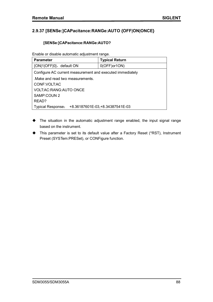### **2.9.37 [SENSe:]CAPacitance:RANGe:AUTO {OFF|ON|ONCE}**

#### **[SENSe:]CAPacitance:RANGe:AUTO?**

Enable or disable automatic adjustment range.

| <b>Parameter</b>                                          | <b>Typical Return</b>            |  |
|-----------------------------------------------------------|----------------------------------|--|
| {ON 1 OFF 0}, default ON                                  | $0(OFF)$ or1ON)                  |  |
| Configure AC current measurement and executed immediately |                                  |  |
| Make and read two measurements.                           |                                  |  |
| CONF: VOLT: AC                                            |                                  |  |
| <b>VOLT:AC:RANG:AUTO ONCE</b>                             |                                  |  |
| SAMP:COUN 2                                               |                                  |  |
| READ?                                                     |                                  |  |
| <b>Typical Response:</b>                                  | +8.36187601E-03, +8.34387541E-03 |  |

- The situation in the automatic adjustment range enabled, the input signal range based on the instrument.
- This parameter is set to its default value after a Factory Reset (\*RST), Instrument Preset (SYSTem:PRESet), or CONFigure function.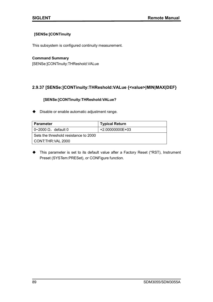#### **[SENSe:]CONTinuity**

This subsystem is configured continuity measurement.

#### **Command Summary**

[SENSe:]CONTinuity:THReshold:VALue

### **2.9.37 [SENSe:]CONTinuity:THReshold:VALue {<value>|MIN|MAX|DEF}**

#### **[SENSe:]CONTinuity:THReshold:VALue?**

◆ Disable or enable automatic adjustment range.

| Parameter                             | <b>Typical Return</b> |
|---------------------------------------|-----------------------|
| $0$ ~2000 $\Omega$ , default 0        | +2.00000000E+03       |
| Sets the threshold resistance to 2000 |                       |
| l CONT:THR:VAL 2000                   |                       |

 This parameter is set to its default value after a Factory Reset (\*RST), Instrument Preset (SYSTem:PRESet), or CONFigure function.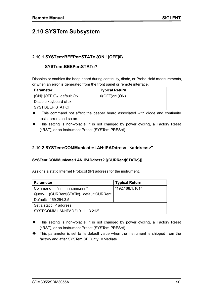# **2.10 SYSTem Subsystem**

### **2.10.1 SYSTem:BEEPer:STATe {ON|1|OFF|0}**

### **SYSTem:BEEPer:STATe?**

Disables or enables the beep heard during continuity, diode, or Probe Hold measurements, or when an error is generated from the front panel or remote interface.

| <b>Parameter</b>         | <b>Typical Return</b> |
|--------------------------|-----------------------|
| {ON 1 OFF 0}, default ON | $0(OFF)$ or1(ON)      |
| Disable keyboard click:  |                       |
| l SYST:BEEP:STAT OFF     |                       |

- This command not affect the beeper heard associated with diode and continuity tests, errors and so on.
- This setting is non-volatile; it is not changed by power cycling, a Factory Reset (\*RST), or an Instrument Preset (SYSTem:PRESet).

### **2.10.2 SYSTem:COMMunicate:LAN:IPADdress "<address>"**

#### **SYSTem:COMMunicate:LAN:IPADdress? [{CURRent|STATic}]]**

Assigns a static Internet Protocol (IP) address for the instrument.

| <b>Parameter</b>                         | <b>Typical Return</b> |
|------------------------------------------|-----------------------|
| l Command: "nnn.nnn.nnn.nnn"             | "192.168.1.101"       |
| Query: {CURRent STATic}, default CURRent |                       |
| Default: 169.254.3.5                     |                       |
| Set a static IP address:                 |                       |
| SYST:COMM:LAN:IPAD "10.11.13.212"        |                       |

- This setting is non-volatile; it is not changed by power cycling, a Factory Reset (\*RST), or an Instrument Preset.(SYSTem:PRESet).
- This parameter is set to its default value when the instrument is shipped from the factory and after SYSTem:SECurity:IMMediate.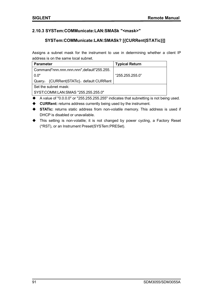### **2.10.3 SYSTem:COMMunicate:LAN:SMASk "<mask>"**

### **SYSTem:COMMunicate:LAN:SMASk? [{CURRent|STATic}]]**

Assigns a subnet mask for the instrument to use in determining whether a client IP address is on the same local subnet.

| <b>Parameter</b>                          | <b>Typical Return</b> |
|-------------------------------------------|-----------------------|
| Command"nnn.nnn.nnn.nnn",default"255.255. |                       |
| 0.0"                                      | "255.255.255.0"       |
| Query: {CURRent STATic}, default CURRent  |                       |
| Set the subnet mask:                      |                       |
| SYST:COMM:LAN:SMAS "255.255.255.0"        |                       |

- $\blacklozenge$  A value of "0.0.0.0" or "255.255.255.255" indicates that subnetting is not being used.
- **CURRent:** returns address currently being used by the instrument.
- **STATic:** returns static address from non-volatile memory. This address is used if DHCP is disabled or unavailable.
- This setting is non-volatile; it is not changed by power cycling, a Factory Reset (\*RST), or an Instrument Preset(SYSTem:PRESet).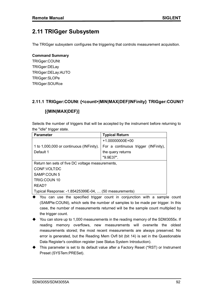# **2.11 TRIGger Subsystem**

The TRIGger subsystem configures the triggering that controls measurement acquisition.

#### **Command Summary**

TRIGger:COUNt TRIGger:DELay TRIGger:DELay:AUTO TRIGger:SLOPe TRIGger:SOURce

### **2.11.1 TRIGger:COUNt {<count>|MIN|MAX|DEF|INFinity} TRIGger:COUNt?**

### **[{MIN|MAX|DEF}]**

Selects the number of triggers that will be accepted by the instrument before returning to the "idle" trigger state.

| <b>Parameter</b>                                      | <b>Typical Return</b>                |  |
|-------------------------------------------------------|--------------------------------------|--|
|                                                       | $+1.00000000E+00$                    |  |
| 1 to 1,000,000 or continuous (INFinity).              | For a continuous trigger (INFinity), |  |
| Default 1                                             | the query returns                    |  |
|                                                       | "9.9E37".                            |  |
| Return ten sets of five DC voltage measurements,      |                                      |  |
| CONF:VOLT:DC                                          |                                      |  |
| SAMP:COUN 5                                           |                                      |  |
| <b>TRIG:COUN 10</b>                                   |                                      |  |
| READ?                                                 |                                      |  |
| Typical Response: -1.85425399E-04,  (50 measurements) |                                      |  |

- You can use the specified trigger count in conjunction with a sample count (SAMPle:COUNt), which sets the number of samples to be made per trigger. In this case, the number of measurements returned will be the sample count multiplied by the trigger count.
- ◆ You can store up to 1,000 measurements in the reading memory of the SDM3055x. If reading memory overflows, new measurements will overwrite the oldest measurements stored; the most recent measurements are always preserved. No error is generated, but the Reading Mem Ovfl bit (bit 14) is set in the Questionable Data Register's condition register (see Status System Introduction).
- $\blacklozenge$  This parameter is set to its default value after a Factory Reset (\*RST) or Instrument Preset (SYSTem:PRESet).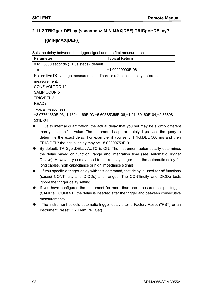### **2.11.2 TRIGger:DELay {<seconds>|MIN|MAX|DEF} TRIGger:DELay?**

### **[{MIN|MAX|DEF}]**

Sets the delay between the trigger signal and the first measurement.

| <b>Parameter</b>                                                           | <b>Typical Return</b> |  |
|----------------------------------------------------------------------------|-----------------------|--|
| 0 to $\sim$ 3600 seconds ( $\sim$ 1 µs steps), default                     |                       |  |
| 1 s                                                                        | $+1.00000000E-06$     |  |
| Return five DC voltage measurements. There is a 2 second delay before each |                       |  |
| measurement.                                                               |                       |  |
| CONF: VOLT: DC 10                                                          |                       |  |
| SAMP:COUN 5                                                                |                       |  |
| TRIG:DEL 2                                                                 |                       |  |
| READ?                                                                      |                       |  |
| <b>Typical Response:</b>                                                   |                       |  |
| +3.07761360E-03,-1.16041169E-03,+5.60585356E-06,+1.21460160E-04,+2.85898   |                       |  |
| 531E-04                                                                    |                       |  |

- Due to internal quantization, the actual delay that you set may be slightly different than your specified value. The increment is approximately 1 μs. Use the query to determine the exact delay. For example, if you send TRIG:DEL 500 ms and then TRIG:DEL? the actual delay may be +5.00000753E-01.
- By default, TRIGger:DELay:AUTO is ON. The instrument automatically determines the delay based on function, range and integration time (see Automatic Trigger Delays). However, you may need to set a delay longer than the automatic delay for long cables, high capacitance or high impedance signals.
- If you specify a trigger delay with this command, that delay is used for *all* functions (*except* CONTinuity and DIODe) and ranges. The CONTinuity and DIODe tests ignore the trigger delay setting.
- If you have configured the instrument for more than one measurement per trigger (SAMPle:COUNt >1), the delay is inserted after the trigger and between consecutive measurements.
- The instrument selects automatic trigger delay after a Factory Reset (\*RST) or an Instrument Preset (SYSTem:PRESet).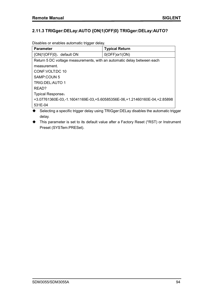### **2.11.3 TRIGger:DELay:AUTO {ON|1|OFF|0} TRIGger:DELay:AUTO?**

Disables or enables automatic trigger delay.

| <b>Parameter</b>                                                         | <b>Typical Return</b> |  |
|--------------------------------------------------------------------------|-----------------------|--|
| {ON 1 OFF 0}, default ON                                                 | $0(OFF)$ or1(ON)      |  |
| Return 5 DC voltage measurements, with an automatic delay between each   |                       |  |
| measurement.                                                             |                       |  |
| CONF: VOLT: DC 10                                                        |                       |  |
| SAMP:COUN 5                                                              |                       |  |
| <b>TRIG:DEL:AUTO 1</b>                                                   |                       |  |
| READ?                                                                    |                       |  |
| <b>Typical Response:</b>                                                 |                       |  |
| +3.07761360E-03,-1.16041169E-03,+5.60585356E-06,+1.21460160E-04,+2.85898 |                       |  |
| 531E-04                                                                  |                       |  |

◆ Selecting a specific trigger delay using TRIGger:DELay disables the automatic trigger delay.

 This parameter is set to its default value after a Factory Reset (\*RST) or Instrument Preset (SYSTem:PRESet).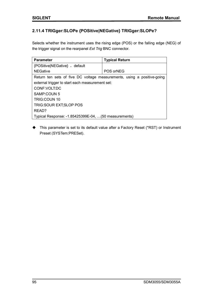# **2.11.4 TRIGger:SLOPe {POSitive|NEGative} TRIGger:SLOPe?**

Selects whether the instrument uses the rising edge (POS) or the falling edge (NEG) of the trigger signal on the rearpanel *Ext Trig* BNC connector.

| <b>Parameter</b>                                                        | <b>Typical Return</b> |  |
|-------------------------------------------------------------------------|-----------------------|--|
| {POSitive NEGative}, default                                            |                       |  |
| <b>NEGative</b>                                                         | POS orNEG             |  |
| Return ten sets of five DC voltage measurements, using a positive-going |                       |  |
| external trigger to start each measurement set:                         |                       |  |
| CONF: VOLT: DC                                                          |                       |  |
| SAMP:COUN 5                                                             |                       |  |
| TRIG:COUN 10                                                            |                       |  |
| TRIG: SOUR EXT; SLOP POS                                                |                       |  |
| READ?                                                                   |                       |  |
| Typical Response: -1.85425399E-04,  (50 measurements)                   |                       |  |

 This parameter is set to its default value after a Factory Reset (\*RST) or Instrument Preset (SYSTem:PRESet).